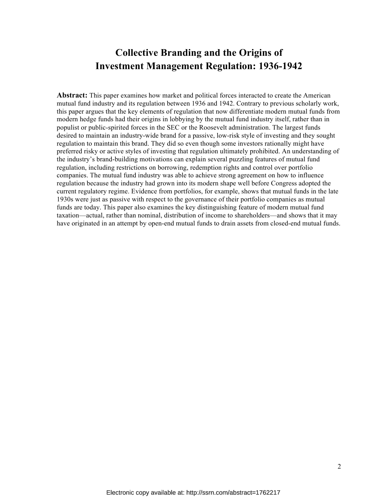# **Collective Branding and the Origins of Investment Management Regulation: 1936-1942**

**Abstract:** This paper examines how market and political forces interacted to create the American mutual fund industry and its regulation between 1936 and 1942. Contrary to previous scholarly work, this paper argues that the key elements of regulation that now differentiate modern mutual funds from modern hedge funds had their origins in lobbying by the mutual fund industry itself, rather than in populist or public-spirited forces in the SEC or the Roosevelt administration. The largest funds desired to maintain an industry-wide brand for a passive, low-risk style of investing and they sought regulation to maintain this brand. They did so even though some investors rationally might have preferred risky or active styles of investing that regulation ultimately prohibited. An understanding of the industry's brand-building motivations can explain several puzzling features of mutual fund regulation, including restrictions on borrowing, redemption rights and control over portfolio companies. The mutual fund industry was able to achieve strong agreement on how to influence regulation because the industry had grown into its modern shape well before Congress adopted the current regulatory regime. Evidence from portfolios, for example, shows that mutual funds in the late 1930s were just as passive with respect to the governance of their portfolio companies as mutual funds are today. This paper also examines the key distinguishing feature of modern mutual fund taxation—actual, rather than nominal, distribution of income to shareholders—and shows that it may have originated in an attempt by open-end mutual funds to drain assets from closed-end mutual funds.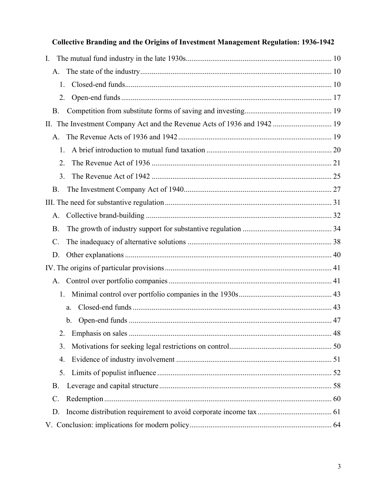| <b>Collective Branding and the Origins of Investment Management Regulation: 1936-1942</b> |  |
|-------------------------------------------------------------------------------------------|--|
| $\mathbf{I}$ .                                                                            |  |
|                                                                                           |  |
| 1.                                                                                        |  |
| 2.                                                                                        |  |
| <b>B.</b>                                                                                 |  |
| The Investment Company Act and the Revenue Acts of 1936 and 1942  19<br>$\prod$ .         |  |
|                                                                                           |  |
| $\mathbf{1}$ .                                                                            |  |
| 2.                                                                                        |  |
| 3 <sub>1</sub>                                                                            |  |
| <b>B.</b>                                                                                 |  |
|                                                                                           |  |
| $A_{\cdot}$                                                                               |  |
| <b>B</b> .                                                                                |  |
| $\mathcal{C}$ .                                                                           |  |
| D.                                                                                        |  |
|                                                                                           |  |
| A.                                                                                        |  |
| 1.                                                                                        |  |
| a.                                                                                        |  |
|                                                                                           |  |
| 2.                                                                                        |  |
| 3.                                                                                        |  |
| 4.                                                                                        |  |
| 5.                                                                                        |  |
| <b>B.</b>                                                                                 |  |
| C.                                                                                        |  |
| D.                                                                                        |  |
|                                                                                           |  |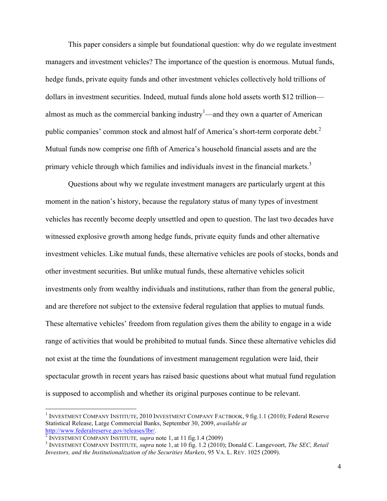This paper considers a simple but foundational question: why do we regulate investment managers and investment vehicles? The importance of the question is enormous. Mutual funds, hedge funds, private equity funds and other investment vehicles collectively hold trillions of dollars in investment securities. Indeed, mutual funds alone hold assets worth \$12 trillion almost as much as the commercial banking industry<sup>1</sup>—and they own a quarter of American public companies' common stock and almost half of America's short-term corporate debt.<sup>2</sup> Mutual funds now comprise one fifth of America's household financial assets and are the primary vehicle through which families and individuals invest in the financial markets.<sup>3</sup>

Questions about why we regulate investment managers are particularly urgent at this moment in the nation's history, because the regulatory status of many types of investment vehicles has recently become deeply unsettled and open to question. The last two decades have witnessed explosive growth among hedge funds, private equity funds and other alternative investment vehicles. Like mutual funds, these alternative vehicles are pools of stocks, bonds and other investment securities. But unlike mutual funds, these alternative vehicles solicit investments only from wealthy individuals and institutions, rather than from the general public, and are therefore not subject to the extensive federal regulation that applies to mutual funds. These alternative vehicles' freedom from regulation gives them the ability to engage in a wide range of activities that would be prohibited to mutual funds. Since these alternative vehicles did not exist at the time the foundations of investment management regulation were laid, their spectacular growth in recent years has raised basic questions about what mutual fund regulation is supposed to accomplish and whether its original purposes continue to be relevant.

<sup>1</sup> INVESTMENT COMPANY INSTITUTE, 2010 INVESTMENT COMPANY FACTBOOK, 9 fig.1.1 (2010); Federal Reserve Statistical Release, Large Commercial Banks, September 30, 2009, *available at* 

<sup>&</sup>lt;sup>2</sup> INVESTMENT COMPANY INSTITUTE, *supra* note 1, at 11 fig.1.4 (2009)<br><sup>3</sup> INVESTMENT COMPANY INSTITUTE, *supra* note 1, at 10 fig. 1.2 (2010); Donald C. Langevoort, *The SEC, Retail Investors, and the Institutionalization of the Securities Markets*, 95 VA. L. REV. 1025 (2009).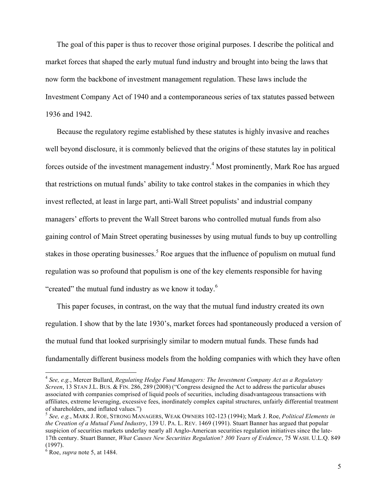The goal of this paper is thus to recover those original purposes. I describe the political and market forces that shaped the early mutual fund industry and brought into being the laws that now form the backbone of investment management regulation. These laws include the Investment Company Act of 1940 and a contemporaneous series of tax statutes passed between 1936 and 1942.

Because the regulatory regime established by these statutes is highly invasive and reaches well beyond disclosure, it is commonly believed that the origins of these statutes lay in political forces outside of the investment management industry.<sup>4</sup> Most prominently, Mark Roe has argued that restrictions on mutual funds' ability to take control stakes in the companies in which they invest reflected, at least in large part, anti-Wall Street populists' and industrial company managers' efforts to prevent the Wall Street barons who controlled mutual funds from also gaining control of Main Street operating businesses by using mutual funds to buy up controlling stakes in those operating businesses.<sup>5</sup> Roe argues that the influence of populism on mutual fund regulation was so profound that populism is one of the key elements responsible for having "created" the mutual fund industry as we know it today.<sup>6</sup>

This paper focuses, in contrast, on the way that the mutual fund industry created its own regulation. I show that by the late 1930's, market forces had spontaneously produced a version of the mutual fund that looked surprisingly similar to modern mutual funds. These funds had fundamentally different business models from the holding companies with which they have often

<sup>4</sup> *See, e.g.*, Mercer Bullard, *Regulating Hedge Fund Managers: The Investment Company Act as a Regulatory Screen*, 13 STAN J.L. BUS. & FIN. 286, 289 (2008) ("Congress designed the Act to address the particular abuses associated with companies comprised of liquid pools of securities, including disadvantageous transactions with affiliates, extreme leveraging, excessive fees, inordinately complex capital structures, unfairly differential treatment of shareholders, and inflated values.")

<sup>5</sup> *See, e.g.*, MARK J. ROE, STRONG MANAGERS, WEAK OWNERS 102-123 (1994); Mark J. Roe, *Political Elements in the Creation of a Mutual Fund Industry*, 139 U. PA. L. REV. 1469 (1991). Stuart Banner has argued that popular suspicion of securities markets underlay nearly all Anglo-American securities regulation initiatives since the late-17th century. Stuart Banner, *What Causes New Securities Regulation? 300 Years of Evidence*, 75 WASH. U.L.Q. 849 (1997).

<sup>6</sup> Roe, *supra* note 5, at 1484.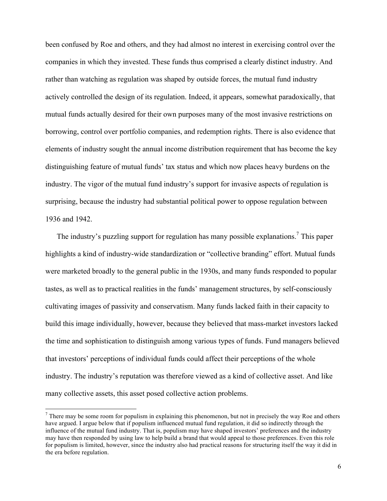been confused by Roe and others, and they had almost no interest in exercising control over the companies in which they invested. These funds thus comprised a clearly distinct industry. And rather than watching as regulation was shaped by outside forces, the mutual fund industry actively controlled the design of its regulation. Indeed, it appears, somewhat paradoxically, that mutual funds actually desired for their own purposes many of the most invasive restrictions on borrowing, control over portfolio companies, and redemption rights. There is also evidence that elements of industry sought the annual income distribution requirement that has become the key distinguishing feature of mutual funds' tax status and which now places heavy burdens on the industry. The vigor of the mutual fund industry's support for invasive aspects of regulation is surprising, because the industry had substantial political power to oppose regulation between 1936 and 1942.

The industry's puzzling support for regulation has many possible explanations.<sup>7</sup> This paper highlights a kind of industry-wide standardization or "collective branding" effort. Mutual funds were marketed broadly to the general public in the 1930s, and many funds responded to popular tastes, as well as to practical realities in the funds' management structures, by self-consciously cultivating images of passivity and conservatism. Many funds lacked faith in their capacity to build this image individually, however, because they believed that mass-market investors lacked the time and sophistication to distinguish among various types of funds. Fund managers believed that investors' perceptions of individual funds could affect their perceptions of the whole industry. The industry's reputation was therefore viewed as a kind of collective asset. And like many collective assets, this asset posed collective action problems.

 $<sup>7</sup>$  There may be some room for populism in explaining this phenomenon, but not in precisely the way Roe and others</sup> have argued. I argue below that if populism influenced mutual fund regulation, it did so indirectly through the influence of the mutual fund industry. That is, populism may have shaped investors' preferences and the industry may have then responded by using law to help build a brand that would appeal to those preferences. Even this role for populism is limited, however, since the industry also had practical reasons for structuring itself the way it did in the era before regulation.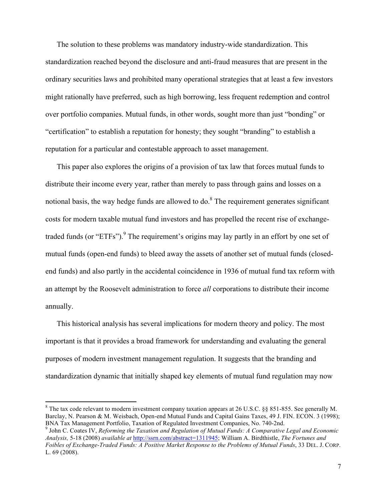The solution to these problems was mandatory industry-wide standardization. This standardization reached beyond the disclosure and anti-fraud measures that are present in the ordinary securities laws and prohibited many operational strategies that at least a few investors might rationally have preferred, such as high borrowing, less frequent redemption and control over portfolio companies. Mutual funds, in other words, sought more than just "bonding" or "certification" to establish a reputation for honesty; they sought "branding" to establish a reputation for a particular and contestable approach to asset management.

This paper also explores the origins of a provision of tax law that forces mutual funds to distribute their income every year, rather than merely to pass through gains and losses on a notional basis, the way hedge funds are allowed to do. $8$  The requirement generates significant costs for modern taxable mutual fund investors and has propelled the recent rise of exchangetraded funds (or "ETFs"). <sup>9</sup> The requirement's origins may lay partly in an effort by one set of mutual funds (open-end funds) to bleed away the assets of another set of mutual funds (closedend funds) and also partly in the accidental coincidence in 1936 of mutual fund tax reform with an attempt by the Roosevelt administration to force *all* corporations to distribute their income annually.

This historical analysis has several implications for modern theory and policy. The most important is that it provides a broad framework for understanding and evaluating the general purposes of modern investment management regulation. It suggests that the branding and standardization dynamic that initially shaped key elements of mutual fund regulation may now

<sup>&</sup>lt;sup>8</sup> The tax code relevant to modern investment company taxation appears at 26 U.S.C. §§ 851-855. See generally M. Barclay, N. Pearson & M. Weisbach, Open-end Mutual Funds and Capital Gains Taxes, 49 J. FIN. ECON. 3 (1998); BNA Tax Management Portfolio, Taxation of Regulated Investment Companies, No. 740-2nd.<br><sup>9</sup> John C. Coates IV, *Reforming the Taxation and Regulation of Mutual Funds: A Comparative Legal and Economic* 

*Analysis,* 5-18 (2008) *available at* http://ssrn.com/abstract=1311945; William A. Birdthistle, *The Fortunes and Foibles of Exchange-Traded Funds: A Positive Market Response to the Problems of Mutual Funds*, 33 DEL. J. CORP. L. 69 (2008).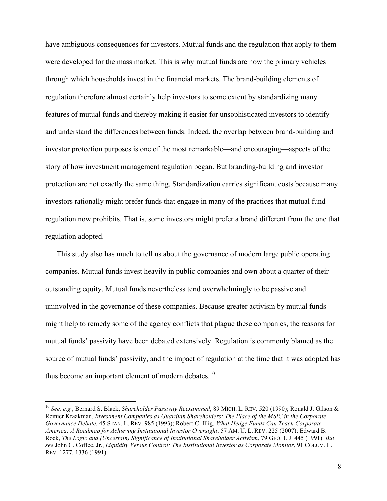have ambiguous consequences for investors. Mutual funds and the regulation that apply to them were developed for the mass market. This is why mutual funds are now the primary vehicles through which households invest in the financial markets. The brand-building elements of regulation therefore almost certainly help investors to some extent by standardizing many features of mutual funds and thereby making it easier for unsophisticated investors to identify and understand the differences between funds. Indeed, the overlap between brand-building and investor protection purposes is one of the most remarkable—and encouraging—aspects of the story of how investment management regulation began. But branding-building and investor protection are not exactly the same thing. Standardization carries significant costs because many investors rationally might prefer funds that engage in many of the practices that mutual fund regulation now prohibits. That is, some investors might prefer a brand different from the one that regulation adopted.

This study also has much to tell us about the governance of modern large public operating companies. Mutual funds invest heavily in public companies and own about a quarter of their outstanding equity. Mutual funds nevertheless tend overwhelmingly to be passive and uninvolved in the governance of these companies. Because greater activism by mutual funds might help to remedy some of the agency conflicts that plague these companies, the reasons for mutual funds' passivity have been debated extensively. Regulation is commonly blamed as the source of mutual funds' passivity, and the impact of regulation at the time that it was adopted has thus become an important element of modern debates.<sup>10</sup>

<sup>10</sup> *See, e.g.*, Bernard S. Black, *Shareholder Passivity Reexamined*, 89 MICH. L. REV. 520 (1990); Ronald J. Gilson & Reinier Kraakman, *Investment Companies as Guardian Shareholders: The Place of the MSIC in the Corporate Governance Debate*, 45 STAN. L. REV. 985 (1993); Robert C. Illig, *What Hedge Funds Can Teach Corporate America: A Roadmap for Achieving Institutional Investor Oversight*, 57 AM. U. L. REV. 225 (2007); Edward B. Rock, *The Logic and (Uncertain) Significance of Institutional Shareholder Activism*, 79 GEO. L.J. 445 (1991). *But see* John C. Coffee, Jr., *Liquidity Versus Control: The Institutional Investor as Corporate Monitor*, 91 COLUM. L. REV. 1277, 1336 (1991).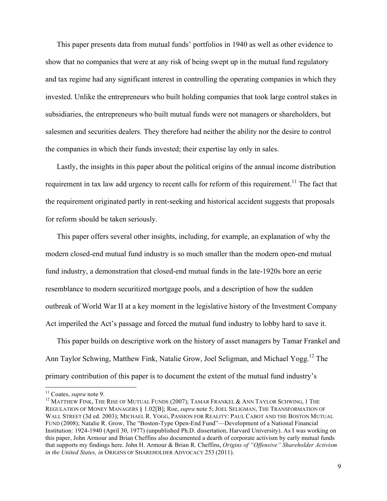This paper presents data from mutual funds' portfolios in 1940 as well as other evidence to show that no companies that were at any risk of being swept up in the mutual fund regulatory and tax regime had any significant interest in controlling the operating companies in which they invested. Unlike the entrepreneurs who built holding companies that took large control stakes in subsidiaries, the entrepreneurs who built mutual funds were not managers or shareholders, but salesmen and securities dealers. They therefore had neither the ability nor the desire to control the companies in which their funds invested; their expertise lay only in sales.

Lastly, the insights in this paper about the political origins of the annual income distribution requirement in tax law add urgency to recent calls for reform of this requirement.<sup>11</sup> The fact that the requirement originated partly in rent-seeking and historical accident suggests that proposals for reform should be taken seriously.

This paper offers several other insights, including, for example, an explanation of why the modern closed-end mutual fund industry is so much smaller than the modern open-end mutual fund industry, a demonstration that closed-end mutual funds in the late-1920s bore an eerie resemblance to modern securitized mortgage pools, and a description of how the sudden outbreak of World War II at a key moment in the legislative history of the Investment Company Act imperiled the Act's passage and forced the mutual fund industry to lobby hard to save it.

This paper builds on descriptive work on the history of asset managers by Tamar Frankel and Ann Taylor Schwing, Matthew Fink, Natalie Grow, Joel Seligman, and Michael Yogg. <sup>12</sup> The primary contribution of this paper is to document the extent of the mutual fund industry's

<sup>&</sup>lt;sup>11</sup> Coates, *supra* note 9.<br><sup>12</sup> MATTHEW FINK, THE RISE OF MUTUAL FUNDS (2007); TAMAR FRANKEL & ANN TAYLOR SCHWING, 1 THE REGULATION OF MONEY MANAGERS § 1.02[B]; Roe, *supra* note 5; JOEL SELIGMAN, THE TRANSFORMATION OF WALL STREET (3d ed. 2003); MICHAEL R. YOGG, PASSION FOR REALITY: PAUL CABOT AND THE BOSTON MUTUAL FUND (2008); Natalie R. Grow, The "Boston-Type Open-End Fund"—Development of a National Financial Institution: 1924-1940 (April 30, 1977) (unpublished Ph.D. dissertation, Harvard University). As I was working on this paper, John Armour and Brian Cheffins also documented a dearth of corporate activism by early mutual funds that supports my findings here. John H. Armour & Brian R. Cheffins, *Origins of "Offensive" Shareholder Activism in the United States, in* ORIGINS OF SHAREHOLDER ADVOCACY 253 (2011).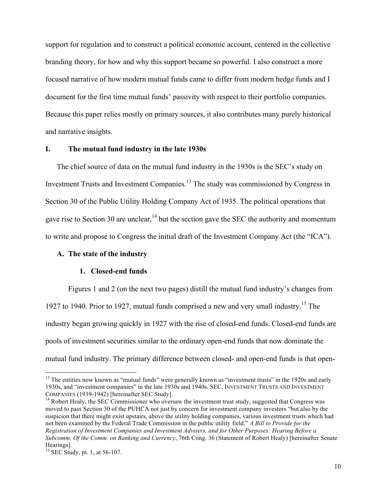support for regulation and to construct a political economic account, centered in the collective branding theory, for how and why this support became so powerful. I also construct a more focused narrative of how modern mutual funds came to differ from modern hedge funds and I document for the first time mutual funds' passivity with respect to their portfolio companies. Because this paper relies mostly on primary sources, it also contributes many purely historical and narrative insights.

# **I. The mutual fund industry in the late 1930s**

The chief source of data on the mutual fund industry in the 1930s is the SEC's study on Investment Trusts and Investment Companies. <sup>13</sup> The study was commissioned by Congress in Section 30 of the Public Utility Holding Company Act of 1935. The political operations that gave rise to Section 30 are unclear,  $^{14}$  but the section gave the SEC the authority and momentum to write and propose to Congress the initial draft of the Investment Company Act (the "ICA").

# **A. The state of the industry**

# **1. Closed-end funds**

Figures 1 and 2 (on the next two pages) distill the mutual fund industry's changes from 1927 to 1940. Prior to 1927, mutual funds comprised a new and very small industry.15 The industry began growing quickly in 1927 with the rise of closed-end funds. Closed-end funds are pools of investment securities similar to the ordinary open-end funds that now dominate the mutual fund industry. The primary difference between closed- and open-end funds is that open-

<sup>&</sup>lt;sup>13</sup> The entities now known as "mutual funds" were generally known as "investment trusts" in the 1920s and early 1930s, and "investment companies" in the late 1930s and 1940s. SEC, INVESTMENT TRUSTS AND INVESTMENT COMPANIES (1939-1942) [hereinafter SEC Study].<br><sup>14</sup> Robert Healy, the SEC Commissioner who oversaw the investment trust study, suggested that Congress was

moved to pass Section 30 of the PUHCA not just by concern for investment company investors "but also by the suspicion that there might exist upstairs, above the utility holding companies, various investment trusts which had not been examined by the Federal Trade Commission in the public utility field." *A Bill to Provide for the Registration of Investment Companies and Investment Advisers, and for Other Purposes: Hearing Before a Subcomm. Of the Comm. on Banking and Currency*, 76th Cong. 36 (Statement of Robert Healy) [hereinafter Senate Hearings].  $^{15}$  SEC Study, pt. 1, at 56-107.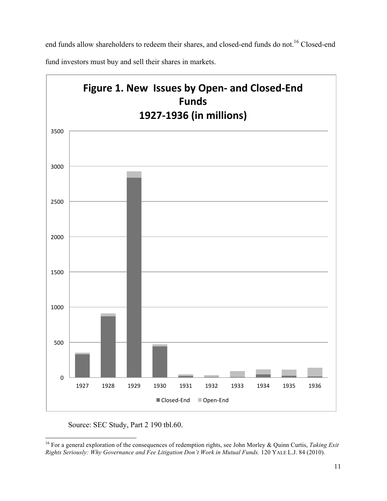end funds allow shareholders to redeem their shares, and closed-end funds do not.<sup>16</sup> Closed-end

fund investors must buy and sell their shares in markets.



Source: SEC Study, Part 2 190 tbl.60.

<sup>16</sup> For a general exploration of the consequences of redemption rights, see John Morley & Quinn Curtis, *Taking Exit Rights Seriously: Why Governance and Fee Litigation Don't Work in Mutual Funds.* 120 YALE L.J. 84 (2010).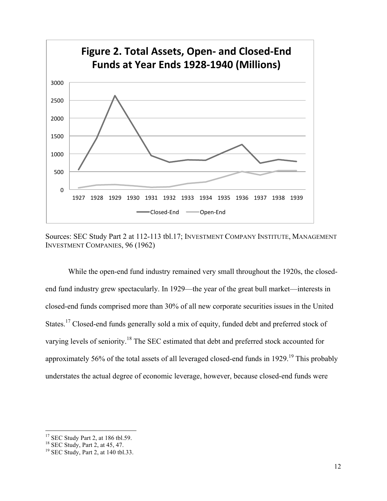



While the open-end fund industry remained very small throughout the 1920s, the closedend fund industry grew spectacularly. In 1929—the year of the great bull market—interests in closed-end funds comprised more than 30% of all new corporate securities issues in the United States.<sup>17</sup> Closed-end funds generally sold a mix of equity, funded debt and preferred stock of varying levels of seniority.<sup>18</sup> The SEC estimated that debt and preferred stock accounted for approximately 56% of the total assets of all leveraged closed-end funds in 1929.<sup>19</sup> This probably understates the actual degree of economic leverage, however, because closed-end funds were

<sup>!!!!!!!!!!!!!!!!!!!!!!!!!!!!!!!!!!!!!!!!!!!!!!!!!!!!!!!!!!!!</sup> <sup>17</sup> SEC Study Part 2, at 186 tbl.59.<br><sup>18</sup> SEC Study, Part 2, at 45, 47.<br><sup>19</sup> SEC Study, Part 2, at 140 tbl.33.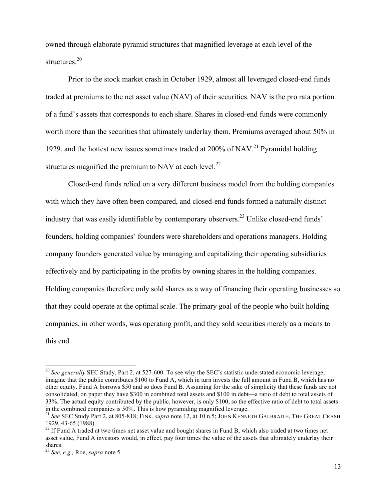owned through elaborate pyramid structures that magnified leverage at each level of the structures.<sup>20</sup>

Prior to the stock market crash in October 1929, almost all leveraged closed-end funds traded at premiums to the net asset value (NAV) of their securities. NAV is the pro rata portion of a fund's assets that corresponds to each share. Shares in closed-end funds were commonly worth more than the securities that ultimately underlay them. Premiums averaged about 50% in 1929, and the hottest new issues sometimes traded at 200% of NAV. <sup>21</sup> Pyramidal holding structures magnified the premium to NAV at each level.<sup>22</sup>

Closed-end funds relied on a very different business model from the holding companies with which they have often been compared, and closed-end funds formed a naturally distinct industry that was easily identifiable by contemporary observers.<sup>23</sup> Unlike closed-end funds' founders, holding companies' founders were shareholders and operations managers. Holding company founders generated value by managing and capitalizing their operating subsidiaries effectively and by participating in the profits by owning shares in the holding companies. Holding companies therefore only sold shares as a way of financing their operating businesses so that they could operate at the optimal scale. The primary goal of the people who built holding companies, in other words, was operating profit, and they sold securities merely as a means to this end.

<sup>&</sup>lt;sup>20</sup> See generally SEC Study, Part 2, at 527-600. To see why the SEC's statistic understated economic leverage, imagine that the public contributes \$100 to Fund A, which in turn invests the full amount in Fund B, which has no other equity. Fund A borrows \$50 and so does Fund B. Assuming for the sake of simplicity that these funds are not consolidated, on paper they have \$300 in combined total assets and \$100 in debt—a ratio of debt to total assets of 33%. The actual equity contributed by the public, however, is only \$100, so the effective ratio of debt to total assets in the combined companies is 50%. This is how pyramiding magnified leverage.

<sup>&</sup>lt;sup>21</sup> See SEC Study Part 2, at 805-818; FINK, *supra* note 12, at 10 n.5; JOHN KENNETH GALBRAITH, THE GREAT CRASH 1929, 43-65 (1988). <sup>22</sup> If Fund A traded at two times net asset value and bought shares in Fund B, which also traded at two times net

asset value, Fund A investors would, in effect, pay four times the value of the assets that ultimately underlay their shares.

<sup>23</sup> *See, e.g.,* Roe, *supra* note 5.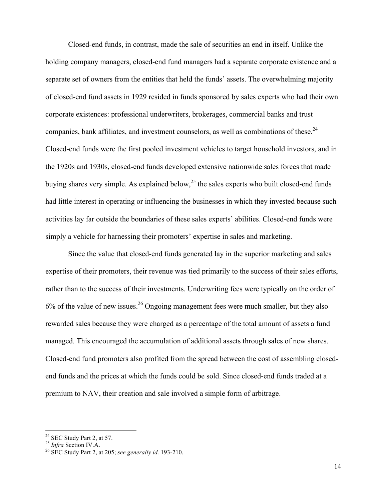Closed-end funds, in contrast, made the sale of securities an end in itself. Unlike the holding company managers, closed-end fund managers had a separate corporate existence and a separate set of owners from the entities that held the funds' assets. The overwhelming majority of closed-end fund assets in 1929 resided in funds sponsored by sales experts who had their own corporate existences: professional underwriters, brokerages, commercial banks and trust companies, bank affiliates, and investment counselors, as well as combinations of these.<sup>24</sup> Closed-end funds were the first pooled investment vehicles to target household investors, and in the 1920s and 1930s, closed-end funds developed extensive nationwide sales forces that made buying shares very simple. As explained below,<sup>25</sup> the sales experts who built closed-end funds had little interest in operating or influencing the businesses in which they invested because such activities lay far outside the boundaries of these sales experts' abilities. Closed-end funds were simply a vehicle for harnessing their promoters' expertise in sales and marketing.

Since the value that closed-end funds generated lay in the superior marketing and sales expertise of their promoters, their revenue was tied primarily to the success of their sales efforts, rather than to the success of their investments. Underwriting fees were typically on the order of  $6\%$  of the value of new issues.<sup>26</sup> Ongoing management fees were much smaller, but they also rewarded sales because they were charged as a percentage of the total amount of assets a fund managed. This encouraged the accumulation of additional assets through sales of new shares. Closed-end fund promoters also profited from the spread between the cost of assembling closedend funds and the prices at which the funds could be sold. Since closed-end funds traded at a premium to NAV, their creation and sale involved a simple form of arbitrage.

<sup>24</sup> SEC Study Part 2, at 57. <sup>25</sup> *Infra* Section IV.A. <sup>26</sup> SEC Study Part 2, at 205; *see generally id.* 193-210.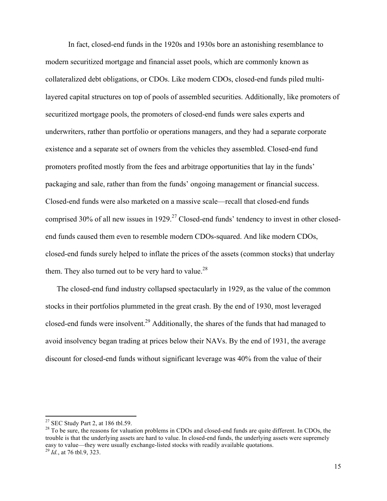In fact, closed-end funds in the 1920s and 1930s bore an astonishing resemblance to modern securitized mortgage and financial asset pools, which are commonly known as collateralized debt obligations, or CDOs. Like modern CDOs, closed-end funds piled multilayered capital structures on top of pools of assembled securities. Additionally, like promoters of securitized mortgage pools, the promoters of closed-end funds were sales experts and underwriters, rather than portfolio or operations managers, and they had a separate corporate existence and a separate set of owners from the vehicles they assembled. Closed-end fund promoters profited mostly from the fees and arbitrage opportunities that lay in the funds' packaging and sale, rather than from the funds' ongoing management or financial success. Closed-end funds were also marketed on a massive scale—recall that closed-end funds comprised 30% of all new issues in 1929.<sup>27</sup> Closed-end funds' tendency to invest in other closedend funds caused them even to resemble modern CDOs-squared. And like modern CDOs, closed-end funds surely helped to inflate the prices of the assets (common stocks) that underlay them. They also turned out to be very hard to value. $^{28}$ 

The closed-end fund industry collapsed spectacularly in 1929, as the value of the common stocks in their portfolios plummeted in the great crash. By the end of 1930, most leveraged closed-end funds were insolvent.<sup>29</sup> Additionally, the shares of the funds that had managed to avoid insolvency began trading at prices below their NAVs. By the end of 1931, the average discount for closed-end funds without significant leverage was 40% from the value of their

<sup>&</sup>lt;sup>27</sup> SEC Study Part 2, at 186 tbl.59.

 $28$  To be sure, the reasons for valuation problems in CDOs and closed-end funds are quite different. In CDOs, the trouble is that the underlying assets are hard to value. In closed-end funds, the underlying assets were supremely easy to value—they were usually exchange-listed stocks with readily available quotations. 29 *Id.*, at 76 tbl.9, 323.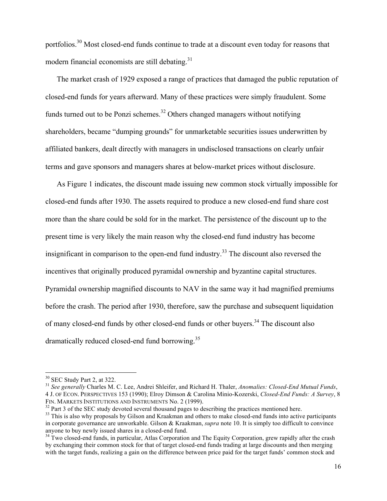portfolios.<sup>30</sup> Most closed-end funds continue to trade at a discount even today for reasons that modern financial economists are still debating.<sup>31</sup>

The market crash of 1929 exposed a range of practices that damaged the public reputation of closed-end funds for years afterward. Many of these practices were simply fraudulent. Some funds turned out to be Ponzi schemes.<sup>32</sup> Others changed managers without notifying shareholders, became "dumping grounds" for unmarketable securities issues underwritten by affiliated bankers, dealt directly with managers in undisclosed transactions on clearly unfair terms and gave sponsors and managers shares at below-market prices without disclosure.

As Figure 1 indicates, the discount made issuing new common stock virtually impossible for closed-end funds after 1930. The assets required to produce a new closed-end fund share cost more than the share could be sold for in the market. The persistence of the discount up to the present time is very likely the main reason why the closed-end fund industry has become insignificant in comparison to the open-end fund industry.<sup>33</sup> The discount also reversed the incentives that originally produced pyramidal ownership and byzantine capital structures. Pyramidal ownership magnified discounts to NAV in the same way it had magnified premiums before the crash. The period after 1930, therefore, saw the purchase and subsequent liquidation of many closed-end funds by other closed-end funds or other buyers.<sup>34</sup> The discount also dramatically reduced closed-end fund borrowing.<sup>35</sup>

<sup>&</sup>lt;sup>30</sup> SEC Study Part 2, at 322.<br><sup>31</sup> *See generally Charles M. C. Lee, Andrei Shleifer, and Richard H. Thaler, <i>Anomalies: Closed-End Mutual Funds*, 4 J. OF ECON. PERSPECTIVES 153 (1990); Elroy Dimson & Carolina Minio-Kozerski, *Closed-End Funds: A Survey*, 8 FIN. MARKETS INSTITUTIONS AND INSTRUMENTS No. 2 (1999).<br><sup>32</sup> Part 3 of the SEC study devoted several thousand pages to describing the practices mentioned here.<br><sup>33</sup> This is also why proposals by Gilson and Kraakman and ot

in corporate governance are unworkable. Gilson & Kraakman, *supra* note 10. It is simply too difficult to convince anyone to buy newly issued shares in a closed-end fund.<br><sup>34</sup> Two closed-end funds, in particular, Atlas Corporation and The Equity Corporation, grew rapidly after the crash

by exchanging their common stock for that of target closed-end funds trading at large discounts and then merging with the target funds, realizing a gain on the difference between price paid for the target funds' common stock and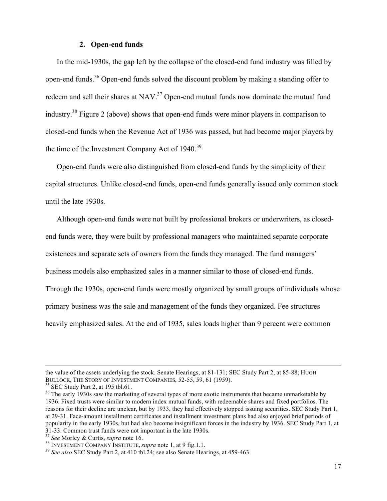#### **2. Open-end funds**

In the mid-1930s, the gap left by the collapse of the closed-end fund industry was filled by open-end funds.<sup>36</sup> Open-end funds solved the discount problem by making a standing offer to redeem and sell their shares at NAV.<sup>37</sup> Open-end mutual funds now dominate the mutual fund industry.38 Figure 2 (above) shows that open-end funds were minor players in comparison to closed-end funds when the Revenue Act of 1936 was passed, but had become major players by the time of the Investment Company Act of 1940.<sup>39</sup>

Open-end funds were also distinguished from closed-end funds by the simplicity of their capital structures. Unlike closed-end funds, open-end funds generally issued only common stock until the late 1930s.

Although open-end funds were not built by professional brokers or underwriters, as closedend funds were, they were built by professional managers who maintained separate corporate existences and separate sets of owners from the funds they managed. The fund managers' business models also emphasized sales in a manner similar to those of closed-end funds. Through the 1930s, open-end funds were mostly organized by small groups of individuals whose primary business was the sale and management of the funds they organized. Fee structures heavily emphasized sales. At the end of 1935, sales loads higher than 9 percent were common

!!!!!!!!!!!!!!!!!!!!!!!!!!!!!!!!!!!!!!!!!!!!!!!!!!!!!!!!!!!!!!!!!!!!!!!!!!!!!!!!!!!!!!!!!!!!!!!!!!!!!!!!!!!!!!!!!!!!!!!!!!!!!!!!!!!!!!!!!!!!!!!!!!!!!!!!!!!!!!!!!!!!!!!!!!!!!!!!!!!!!!!!!!!!!!!!!!!

the value of the assets underlying the stock. Senate Hearings, at 81-131; SEC Study Part 2, at 85-88; HUGH BULLOCK, THE STORY OF INVESTMENT COMPANIES, 52-55, 59, 61 (1959).

<sup>&</sup>lt;sup>35</sup> SEC Study Part 2, at 195 tbl.61.<br><sup>36</sup> The early 1930s saw the marketing of several types of more exotic instruments that became unmarketable by 1936. Fixed trusts were similar to modern index mutual funds, with redeemable shares and fixed portfolios. The reasons for their decline are unclear, but by 1933, they had effectively stopped issuing securities. SEC Study Part 1, at 29-31. Face-amount installment certificates and installment investment plans had also enjoyed brief periods of popularity in the early 1930s, but had also become insignificant forces in the industry by 1936. SEC Study Part 1, at 31-33. Common trust funds were not important in the late 1930s.<br><sup>37</sup> See Morley & Curtis, *supra* note 16.<br><sup>38</sup> INVESTMENT COMPANY INSTITUTE, *supra* note 1, at 9 fig.1.1.<br><sup>39</sup> See also SEC Study Part 2, at 410 tbl.24; se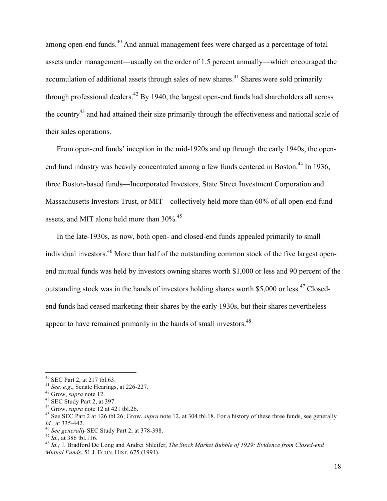among open-end funds.<sup>40</sup> And annual management fees were charged as a percentage of total assets under management—usually on the order of 1.5 percent annually—which encouraged the accumulation of additional assets through sales of new shares.<sup>41</sup> Shares were sold primarily through professional dealers. $^{42}$  By 1940, the largest open-end funds had shareholders all across the country<sup>43</sup> and had attained their size primarily through the effectiveness and national scale of their sales operations.

From open-end funds' inception in the mid-1920s and up through the early 1940s, the openend fund industry was heavily concentrated among a few funds centered in Boston.<sup>44</sup> In 1936, three Boston-based funds—Incorporated Investors, State Street Investment Corporation and Massachusetts Investors Trust, or MIT—collectively held more than 60% of all open-end fund assets, and MIT alone held more than 30%.<sup>45</sup>

In the late-1930s, as now, both open- and closed-end funds appealed primarily to small individual investors.<sup>46</sup> More than half of the outstanding common stock of the five largest openend mutual funds was held by investors owning shares worth \$1,000 or less and 90 percent of the outstanding stock was in the hands of investors holding shares worth  $$5,000$  or less.<sup>47</sup> Closedend funds had ceased marketing their shares by the early 1930s, but their shares nevertheless appear to have remained primarily in the hands of small investors.<sup>48</sup>

<sup>&</sup>lt;sup>40</sup> SEC Part 2, at 217 tbl.63.<br>
<sup>41</sup> See, e.g., Senate Hearings, at 226-227.<br>
<sup>42</sup> Grow, *supra* note 12.<br>
<sup>43</sup> SEC Study Part 2, at 397.<br>
<sup>44</sup> Grow, *supra* note 12 at 421 tbl.26.<br>
<sup>45</sup> See SEC Part 2 at 126 tbl.26; Gro

<sup>&</sup>lt;sup>46</sup> See generally SEC Study Part 2, at 378-398.<br><sup>47</sup> Id., at 386 tbl.116.<br><sup>48</sup> Id.; J. Bradford De Long and Andrei Shleifer, *The Stock Market Bubble of 1929: Evidence from Closed-end Mutual Funds*, 51 J. ECON. HIST. 675 (1991).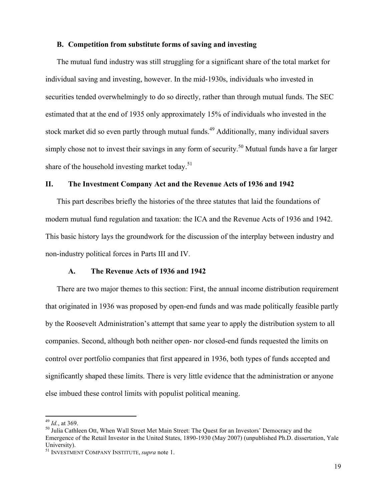# **B. Competition from substitute forms of saving and investing**

The mutual fund industry was still struggling for a significant share of the total market for individual saving and investing, however. In the mid-1930s, individuals who invested in securities tended overwhelmingly to do so directly, rather than through mutual funds. The SEC estimated that at the end of 1935 only approximately 15% of individuals who invested in the stock market did so even partly through mutual funds.<sup>49</sup> Additionally, many individual savers simply chose not to invest their savings in any form of security.<sup>50</sup> Mutual funds have a far larger share of the household investing market today.<sup>51</sup>

# **II. The Investment Company Act and the Revenue Acts of 1936 and 1942**

This part describes briefly the histories of the three statutes that laid the foundations of modern mutual fund regulation and taxation: the ICA and the Revenue Acts of 1936 and 1942. This basic history lays the groundwork for the discussion of the interplay between industry and non-industry political forces in Parts III and IV.

# **A. The Revenue Acts of 1936 and 1942**

There are two major themes to this section: First, the annual income distribution requirement that originated in 1936 was proposed by open-end funds and was made politically feasible partly by the Roosevelt Administration's attempt that same year to apply the distribution system to all companies. Second, although both neither open- nor closed-end funds requested the limits on control over portfolio companies that first appeared in 1936, both types of funds accepted and significantly shaped these limits. There is very little evidence that the administration or anyone else imbued these control limits with populist political meaning.

<sup>&</sup>lt;sup>49</sup> *Id.*, at 369.<br><sup>50</sup> Julia Cathleen Ott, When Wall Street Met Main Street: The Quest for an Investors' Democracy and the Emergence of the Retail Investor in the United States, 1890-1930 (May 2007) (unpublished Ph.D. dissertation, Yale University).

<sup>51</sup> INVESTMENT COMPANY INSTITUTE, *supra* note 1.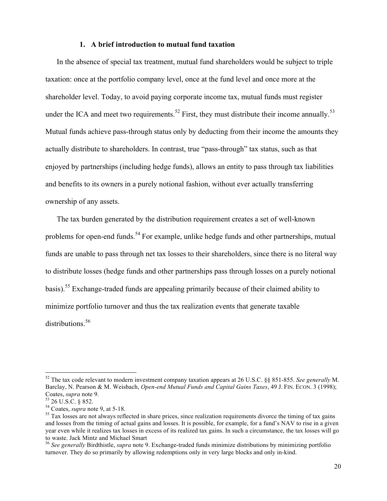#### **1. A brief introduction to mutual fund taxation**

In the absence of special tax treatment, mutual fund shareholders would be subject to triple taxation: once at the portfolio company level, once at the fund level and once more at the shareholder level. Today, to avoid paying corporate income tax, mutual funds must register under the ICA and meet two requirements.<sup>52</sup> First, they must distribute their income annually.<sup>53</sup> Mutual funds achieve pass-through status only by deducting from their income the amounts they actually distribute to shareholders. In contrast, true "pass-through" tax status, such as that enjoyed by partnerships (including hedge funds), allows an entity to pass through tax liabilities and benefits to its owners in a purely notional fashion, without ever actually transferring ownership of any assets.

The tax burden generated by the distribution requirement creates a set of well-known problems for open-end funds.<sup>54</sup> For example, unlike hedge funds and other partnerships, mutual funds are unable to pass through net tax losses to their shareholders, since there is no literal way to distribute losses (hedge funds and other partnerships pass through losses on a purely notional basis).<sup>55</sup> Exchange-traded funds are appealing primarily because of their claimed ability to minimize portfolio turnover and thus the tax realization events that generate taxable distributions.<sup>56</sup>

<sup>52</sup> The tax code relevant to modern investment company taxation appears at 26 U.S.C. §§ 851-855. *See generally* M. Barclay, N. Pearson & M. Weisbach, *Open-end Mutual Funds and Capital Gains Taxes*, 49 J. FIN. ECON. 3 (1998); Coates, *supra* note 9.<br><sup>53</sup> 26 U.S.C. § 852.<br><sup>54</sup> Coates, *supra* note 9, at 5-18.<br><sup>55</sup> Tax losses are not always reflected in share prices, since realization requirements divorce the timing of tax gains

and losses from the timing of actual gains and losses. It is possible, for example, for a fund's NAV to rise in a given year even while it realizes tax losses in excess of its realized tax gains. In such a circumstance, the tax losses will go to waste. Jack Mintz and Michael Smart

<sup>56</sup> *See generally* Birdthistle, *supra* note 9. Exchange-traded funds minimize distributions by minimizing portfolio turnover. They do so primarily by allowing redemptions only in very large blocks and only in-kind.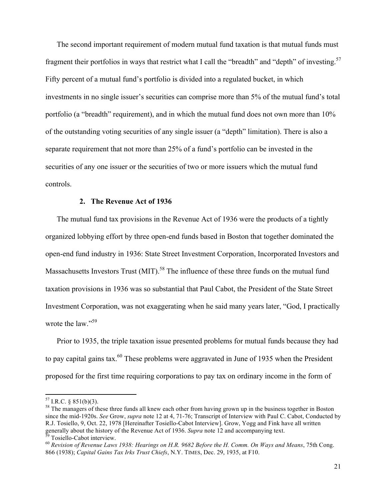The second important requirement of modern mutual fund taxation is that mutual funds must fragment their portfolios in ways that restrict what I call the "breadth" and "depth" of investing.<sup>57</sup> Fifty percent of a mutual fund's portfolio is divided into a regulated bucket, in which investments in no single issuer's securities can comprise more than 5% of the mutual fund's total portfolio (a "breadth" requirement), and in which the mutual fund does not own more than 10% of the outstanding voting securities of any single issuer (a "depth" limitation). There is also a separate requirement that not more than 25% of a fund's portfolio can be invested in the securities of any one issuer or the securities of two or more issuers which the mutual fund controls.

#### **2. The Revenue Act of 1936**

The mutual fund tax provisions in the Revenue Act of 1936 were the products of a tightly organized lobbying effort by three open-end funds based in Boston that together dominated the open-end fund industry in 1936: State Street Investment Corporation, Incorporated Investors and Massachusetts Investors Trust (MIT).<sup>58</sup> The influence of these three funds on the mutual fund taxation provisions in 1936 was so substantial that Paul Cabot, the President of the State Street Investment Corporation, was not exaggerating when he said many years later, "God, I practically wrote the law."<sup>59</sup>

Prior to 1935, the triple taxation issue presented problems for mutual funds because they had to pay capital gains tax.<sup>60</sup> These problems were aggravated in June of 1935 when the President proposed for the first time requiring corporations to pay tax on ordinary income in the form of

<sup>&</sup>lt;sup>57</sup> I.R.C. § 851(b)(3).<br><sup>58</sup> The managers of these three funds all knew each other from having grown up in the business together in Boston since the mid-1920s. *See* Grow, *supra* note 12 at 4, 71-76; Transcript of Interview with Paul C. Cabot, Conducted by R.J. Tosiello, 9, Oct. 22, 1978 [Hereinafter Tosiello-Cabot Interview]. Grow, Yogg and Fink have all written generally about the history of the Revenue Act of 1936. Supra note 12 and accompanying text.<br><sup>59</sup> Tosiello-Cabot interview.<br><sup>60</sup> Revision of Revenue Laws 1938: Hearings on H.R. 9682 Before the H. Comm. On Ways and Means, 7

<sup>866 (1938);</sup> *Capital Gains Tax Irks Trust Chiefs*, N.Y. TIMES, Dec. 29, 1935, at F10.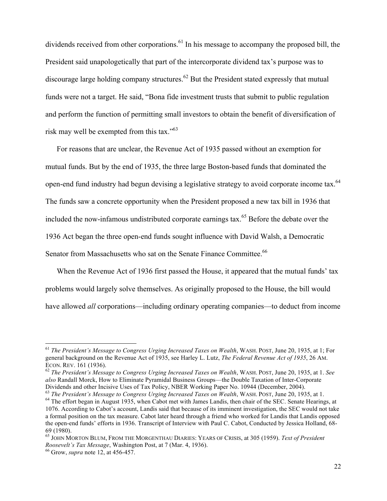dividends received from other corporations.<sup>61</sup> In his message to accompany the proposed bill, the President said unapologetically that part of the intercorporate dividend tax's purpose was to discourage large holding company structures.<sup>62</sup> But the President stated expressly that mutual funds were not a target. He said, "Bona fide investment trusts that submit to public regulation and perform the function of permitting small investors to obtain the benefit of diversification of risk may well be exempted from this tax."<sup>63</sup>

For reasons that are unclear, the Revenue Act of 1935 passed without an exemption for mutual funds. But by the end of 1935, the three large Boston-based funds that dominated the open-end fund industry had begun devising a legislative strategy to avoid corporate income tax.<sup>64</sup> The funds saw a concrete opportunity when the President proposed a new tax bill in 1936 that included the now-infamous undistributed corporate earnings tax.<sup>65</sup> Before the debate over the 1936 Act began the three open-end funds sought influence with David Walsh, a Democratic Senator from Massachusetts who sat on the Senate Finance Committee.<sup>66</sup>

When the Revenue Act of 1936 first passed the House, it appeared that the mutual funds' tax problems would largely solve themselves. As originally proposed to the House, the bill would have allowed *all* corporations—including ordinary operating companies—to deduct from income

<sup>61</sup> *The President's Message to Congress Urging Increased Taxes on Wealth*, WASH. POST, June 20, 1935, at 1; For general background on the Revenue Act of 1935, see Harley L. Lutz, *The Federal Revenue Act of 1935*, 26 AM.

<sup>&</sup>lt;sup>62</sup> *The President's Message to Congress Urging Increased Taxes on Wealth*, WASH. POST, June 20, 1935, at 1. *See also* Randall Morck, How to Eliminate Pyramidal Business Groups—the Double Taxation of Inter-Corporate

 $^{63}$  The President's Message to Congress Urging Increased Taxes on Wealth, WASH. POST, June 20, 1935, at 1.<br><sup>64</sup> The effort began in August 1935, when Cabot met with James Landis, then chair of the SEC. Senate Hearings,

<sup>1076.</sup> According to Cabot's account, Landis said that because of its imminent investigation, the SEC would not take a formal position on the tax measure. Cabot later heard through a friend who worked for Landis that Landis opposed the open-end funds' efforts in 1936. Transcript of Interview with Paul C. Cabot, Conducted by Jessica Holland, 68- 69 (1980).

<sup>65</sup> JOHN MORTON BLUM, FROM THE MORGENTHAU DIARIES: YEARS OF CRISIS, at 305 (1959). *Text of President Roosevelt's Tax Message*, Washington Post, at 7 (Mar. 4, 1936). <sup>66</sup> Grow, *supra* note 12, at 456-457.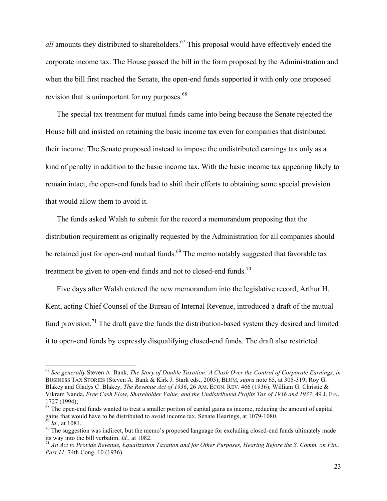*all* amounts they distributed to shareholders.<sup>67</sup> This proposal would have effectively ended the corporate income tax. The House passed the bill in the form proposed by the Administration and when the bill first reached the Senate, the open-end funds supported it with only one proposed revision that is unimportant for my purposes.<sup>68</sup>

The special tax treatment for mutual funds came into being because the Senate rejected the House bill and insisted on retaining the basic income tax even for companies that distributed their income. The Senate proposed instead to impose the undistributed earnings tax only as a kind of penalty in addition to the basic income tax. With the basic income tax appearing likely to remain intact, the open-end funds had to shift their efforts to obtaining some special provision that would allow them to avoid it.

The funds asked Walsh to submit for the record a memorandum proposing that the distribution requirement as originally requested by the Administration for all companies should be retained just for open-end mutual funds.<sup>69</sup> The memo notably suggested that favorable tax treatment be given to open-end funds and not to closed-end funds.<sup>70</sup>

Five days after Walsh entered the new memorandum into the legislative record, Arthur H. Kent, acting Chief Counsel of the Bureau of Internal Revenue, introduced a draft of the mutual fund provision.<sup>71</sup> The draft gave the funds the distribution-based system they desired and limited it to open-end funds by expressly disqualifying closed-end funds. The draft also restricted

<sup>67</sup> *See generally* Steven A. Bank, *The Story of Double Taxation: A Clash Over the Control of Corporate Earnings*, *in* BUSINESS TAX STORIES (Steven A. Bank & Kirk J. Stark eds., 2005); BLUM, *supra* note 65, at 305-319; Roy G. Blakey and Gladys C. Blakey, *The Revenue Act of 1936*, 26 AM. ECON. REV. 466 (1936); William G. Christie & Vikram Nanda, *Free Cash Flow, Shareholder Value, and the Undistributed Profits Tax of 1936 and 1937*, 49 J. FIN.

<sup>1727 (1994);&</sup>lt;br><sup>68</sup> The open-end funds wanted to treat a smaller portion of capital gains as income, reducing the amount of capital gains that would have to be distributed to avoid income tax. Senate Hearings, at 1079-1080.

<sup>&</sup>lt;sup>69</sup> *Id.*, at 1081.<br><sup>70</sup> The suggestion was indirect, but the memo's proposed language for excluding closed-end funds ultimately made its way into the bill verbatim. *Id.*, at 1082.

<sup>&</sup>lt;sup>71</sup> An Act to Provide Revenue, Equalization Taxation and for Other Purposes, Hearing Before the S. Comm. on Fin., *Part 11,* 74th Cong. 10 (1936).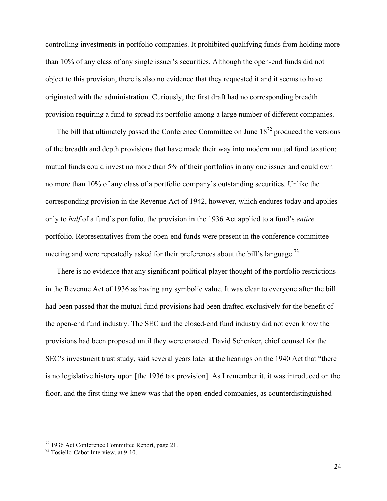controlling investments in portfolio companies. It prohibited qualifying funds from holding more than 10% of any class of any single issuer's securities. Although the open-end funds did not object to this provision, there is also no evidence that they requested it and it seems to have originated with the administration. Curiously, the first draft had no corresponding breadth provision requiring a fund to spread its portfolio among a large number of different companies.

The bill that ultimately passed the Conference Committee on June  $18^{72}$  produced the versions of the breadth and depth provisions that have made their way into modern mutual fund taxation: mutual funds could invest no more than 5% of their portfolios in any one issuer and could own no more than 10% of any class of a portfolio company's outstanding securities. Unlike the corresponding provision in the Revenue Act of 1942, however, which endures today and applies only to *half* of a fund's portfolio, the provision in the 1936 Act applied to a fund's *entire* portfolio. Representatives from the open-end funds were present in the conference committee meeting and were repeatedly asked for their preferences about the bill's language.<sup>73</sup>

There is no evidence that any significant political player thought of the portfolio restrictions in the Revenue Act of 1936 as having any symbolic value. It was clear to everyone after the bill had been passed that the mutual fund provisions had been drafted exclusively for the benefit of the open-end fund industry. The SEC and the closed-end fund industry did not even know the provisions had been proposed until they were enacted. David Schenker, chief counsel for the SEC's investment trust study, said several years later at the hearings on the 1940 Act that "there is no legislative history upon [the 1936 tax provision]. As I remember it, it was introduced on the floor, and the first thing we knew was that the open-ended companies, as counterdistinguished

 $72$  1936 Act Conference Committee Report, page 21.<br> $73$  Tosiello-Cabot Interview, at 9-10.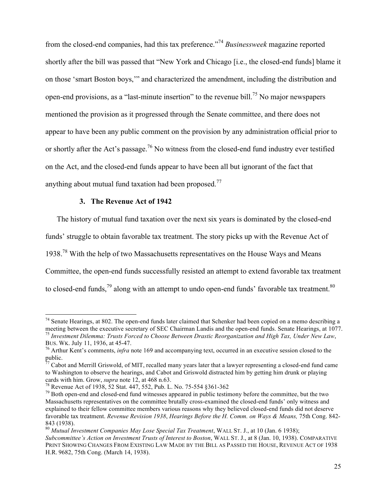from the closed-end companies, had this tax preference."<sup>74</sup> *Businessweek* magazine reported shortly after the bill was passed that "New York and Chicago [i.e., the closed-end funds] blame it on those 'smart Boston boys,'" and characterized the amendment, including the distribution and open-end provisions, as a "last-minute insertion" to the revenue bill.<sup>75</sup> No major newspapers mentioned the provision as it progressed through the Senate committee, and there does not appear to have been any public comment on the provision by any administration official prior to or shortly after the Act's passage.<sup>76</sup> No witness from the closed-end fund industry ever testified on the Act, and the closed-end funds appear to have been all but ignorant of the fact that anything about mutual fund taxation had been proposed.<sup>77</sup>

# **3. The Revenue Act of 1942**

!!!!!!!!!!!!!!!!!!!!!!!!!!!!!!!!!!!!!!!!!!!!!!!!!!!!!!!!!!!!

The history of mutual fund taxation over the next six years is dominated by the closed-end funds' struggle to obtain favorable tax treatment. The story picks up with the Revenue Act of 1938.<sup>78</sup> With the help of two Massachusetts representatives on the House Ways and Means Committee, the open-end funds successfully resisted an attempt to extend favorable tax treatment to closed-end funds,<sup>79</sup> along with an attempt to undo open-end funds' favorable tax treatment.<sup>80</sup>

 $74$  Senate Hearings, at 802. The open-end funds later claimed that Schenker had been copied on a memo describing a meeting between the executive secretary of SEC Chairman Landis and the open-end funds. Senate Hearings, at 1077.<br><sup>75</sup> Investment Dilemma: Trusts Forced to Choose Between Drastic Reorganization and High Tax, Under New Law,<br>

<sup>&</sup>lt;sup>76</sup> Arthur Kent's comments, *infra* note 169 and accompanying text, occurred in an executive session closed to the public.

<sup>77</sup> Cabot and Merrill Griswold, of MIT, recalled many years later that a lawyer representing a closed-end fund came to Washington to observe the hearings, and Cabot and Griswold distracted him by getting him drunk or playing cards with him. Grow, *supra* note 12, at 468 n.63.<br><sup>78</sup> Revenue Act of 1938, 52 Stat. 447, 552, Pub. L. No. 75-554 §361-362<br><sup>79</sup> Both open-end and closed-end fund witnesses appeared in public testimony before the committ

Massachusetts representatives on the committee brutally cross-examined the closed-end funds' only witness and explained to their fellow committee members various reasons why they believed closed-end funds did not deserve favorable tax treatment. *Revenue Revision 1938*, *Hearings Before the H. Comm. on Ways & Means,* 75th Cong. 842- 843 (1938).

<sup>80</sup> *Mutual Investment Companies May Lose Special Tax Treatment*, WALL ST. J., at 10 (Jan. 6 1938); *Subcommittee's Action on Investment Trusts of Interest to Boston*, WALL ST. J., at 8 (Jan. 10, 1938). COMPARATIVE PRINT SHOWING CHANGES FROM EXISTING LAW MADE BY THE BILL AS PASSED THE HOUSE, REVENUE ACT OF 1938 H.R. 9682, 75th Cong. (March 14, 1938).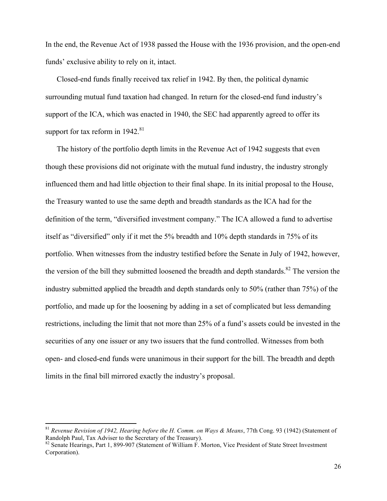In the end, the Revenue Act of 1938 passed the House with the 1936 provision, and the open-end funds' exclusive ability to rely on it, intact.

Closed-end funds finally received tax relief in 1942. By then, the political dynamic surrounding mutual fund taxation had changed. In return for the closed-end fund industry's support of the ICA, which was enacted in 1940, the SEC had apparently agreed to offer its support for tax reform in  $1942$ .<sup>81</sup>

The history of the portfolio depth limits in the Revenue Act of 1942 suggests that even though these provisions did not originate with the mutual fund industry, the industry strongly influenced them and had little objection to their final shape. In its initial proposal to the House, the Treasury wanted to use the same depth and breadth standards as the ICA had for the definition of the term, "diversified investment company." The ICA allowed a fund to advertise itself as "diversified" only if it met the 5% breadth and 10% depth standards in 75% of its portfolio. When witnesses from the industry testified before the Senate in July of 1942, however, the version of the bill they submitted loosened the breadth and depth standards.<sup>82</sup> The version the industry submitted applied the breadth and depth standards only to 50% (rather than 75%) of the portfolio, and made up for the loosening by adding in a set of complicated but less demanding restrictions, including the limit that not more than 25% of a fund's assets could be invested in the securities of any one issuer or any two issuers that the fund controlled. Witnesses from both open- and closed-end funds were unanimous in their support for the bill. The breadth and depth limits in the final bill mirrored exactly the industry's proposal.

<sup>&</sup>lt;sup>81</sup> *Revenue Revision of 1942, Hearing before the H. Comm. on Ways & Means*, 77th Cong. 93 (1942) (Statement of Randolph Paul, Tax Adviser to the Secretary of the Treasury).

 $R^2$  Senate Hearings, Part 1, 899-907 (Statement of William F. Morton, Vice President of State Street Investment Corporation).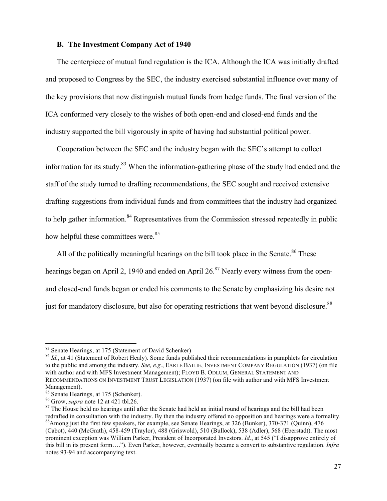#### **B. The Investment Company Act of 1940**

The centerpiece of mutual fund regulation is the ICA. Although the ICA was initially drafted and proposed to Congress by the SEC, the industry exercised substantial influence over many of the key provisions that now distinguish mutual funds from hedge funds. The final version of the ICA conformed very closely to the wishes of both open-end and closed-end funds and the industry supported the bill vigorously in spite of having had substantial political power.

Cooperation between the SEC and the industry began with the SEC's attempt to collect information for its study.<sup>83</sup> When the information-gathering phase of the study had ended and the staff of the study turned to drafting recommendations, the SEC sought and received extensive drafting suggestions from individual funds and from committees that the industry had organized to help gather information.<sup>84</sup> Representatives from the Commission stressed repeatedly in public how helpful these committees were.<sup>85</sup>

All of the politically meaningful hearings on the bill took place in the Senate. $86$  These hearings began on April 2, 1940 and ended on April 26.<sup>87</sup> Nearly every witness from the openand closed-end funds began or ended his comments to the Senate by emphasizing his desire not just for mandatory disclosure, but also for operating restrictions that went beyond disclosure.<sup>88</sup>

<sup>&</sup>lt;sup>83</sup> Senate Hearings, at 175 (Statement of David Schenker)

<sup>&</sup>lt;sup>84</sup> Id., at 41 (Statement of Robert Healy). Some funds published their recommendations in pamphlets for circulation to the public and among the industry. *See, e.g.*, EARLE BAILIE, INVESTMENT COMPANY REGULATION (1937) (on file with author and with MFS Investment Management); FLOYD B. ODLUM, GENERAL STATEMENT AND RECOMMENDATIONS ON INVESTMENT TRUST LEGISLATION (1937) (on file with author and with MFS Investment Management).<br><sup>85</sup> Senate Hearings, at 175 (Schenker).

<sup>&</sup>lt;sup>86</sup> Grow, *supra* note 12 at 421 tbl.26. **87** The House heart had held an initial round of hearings and the bill had been <sup>87</sup> The House held no hearings until after the Senate had held an initial round of hearings and th redrafted in consultation with the industry. By then the industry offered no opposition and hearings were a formality.<br><sup>88</sup>Among just the first few speakers, for example, see Senate Hearings, at 326 (Bunker), 370-371 (Quin

<sup>(</sup>Cabot), 440 (McGrath), 458-459 (Traylor), 488 (Griswold), 510 (Bullock), 538 (Adler), 568 (Eberstadt). The most prominent exception was William Parker, President of Incorporated Investors. *Id.*, at 545 ("I disapprove entirely of this bill in its present form…."). Even Parker, however, eventually became a convert to substantive regulation. *Infra*  notes 93-94 and accompanying text.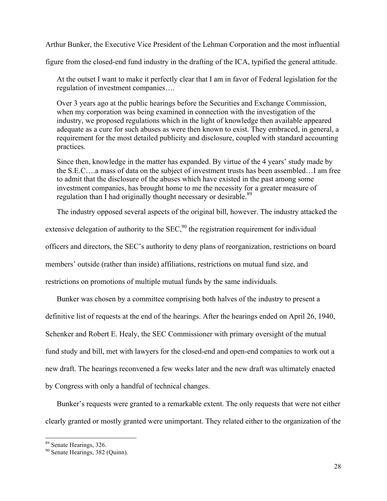Arthur Bunker, the Executive Vice President of the Lehman Corporation and the most influential

figure from the closed-end fund industry in the drafting of the ICA, typified the general attitude.

At the outset I want to make it perfectly clear that I am in favor of Federal legislation for the regulation of investment companies….

Over 3 years ago at the public hearings before the Securities and Exchange Commission, when my corporation was being examined in connection with the investigation of the industry, we proposed regulations which in the light of knowledge then available appeared adequate as a cure for such abuses as were then known to exist. They embraced, in general, a requirement for the most detailed publicity and disclosure, coupled with standard accounting practices.

Since then, knowledge in the matter has expanded. By virtue of the 4 years' study made by the S.E.C….a mass of data on the subject of investment trusts has been assembled…I am free to admit that the disclosure of the abuses which have existed in the past among some investment companies, has brought home to me the necessity for a greater measure of regulation than I had originally thought necessary or desirable.<sup>89</sup>

The industry opposed several aspects of the original bill, however. The industry attacked the

extensive delegation of authority to the  $SEC.$ <sup>90</sup> the registration requirement for individual

officers and directors, the SEC's authority to deny plans of reorganization, restrictions on board

members' outside (rather than inside) affiliations, restrictions on mutual fund size, and

restrictions on promotions of multiple mutual funds by the same individuals.

Bunker was chosen by a committee comprising both halves of the industry to present a definitive list of requests at the end of the hearings. After the hearings ended on April 26, 1940, Schenker and Robert E. Healy, the SEC Commissioner with primary oversight of the mutual fund study and bill, met with lawyers for the closed-end and open-end companies to work out a new draft. The hearings reconvened a few weeks later and the new draft was ultimately enacted by Congress with only a handful of technical changes.

Bunker's requests were granted to a remarkable extent. The only requests that were not either clearly granted or mostly granted were unimportant. They related either to the organization of the

 $89$  Senate Hearings, 326.<br> $89$  Senate Hearings, 382 (Quinn).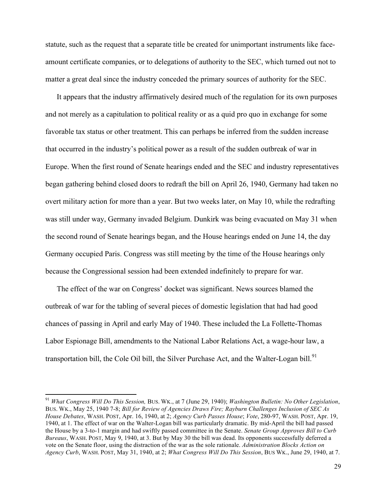statute, such as the request that a separate title be created for unimportant instruments like faceamount certificate companies, or to delegations of authority to the SEC, which turned out not to matter a great deal since the industry conceded the primary sources of authority for the SEC.

It appears that the industry affirmatively desired much of the regulation for its own purposes and not merely as a capitulation to political reality or as a quid pro quo in exchange for some favorable tax status or other treatment. This can perhaps be inferred from the sudden increase that occurred in the industry's political power as a result of the sudden outbreak of war in Europe. When the first round of Senate hearings ended and the SEC and industry representatives began gathering behind closed doors to redraft the bill on April 26, 1940, Germany had taken no overt military action for more than a year. But two weeks later, on May 10, while the redrafting was still under way, Germany invaded Belgium. Dunkirk was being evacuated on May 31 when the second round of Senate hearings began, and the House hearings ended on June 14, the day Germany occupied Paris. Congress was still meeting by the time of the House hearings only because the Congressional session had been extended indefinitely to prepare for war.

The effect of the war on Congress' docket was significant. News sources blamed the outbreak of war for the tabling of several pieces of domestic legislation that had had good chances of passing in April and early May of 1940. These included the La Follette-Thomas Labor Espionage Bill, amendments to the National Labor Relations Act, a wage-hour law, a transportation bill, the Cole Oil bill, the Silver Purchase Act, and the Walter-Logan bill.<sup>91</sup>

<sup>91</sup> *What Congress Will Do This Session,* BUS. WK., at 7 (June 29, 1940); *Washington Bulletin: No Other Legislation*, BUS. WK., May 25, 1940 7-8; *Bill for Review of Agencies Draws Fire; Rayburn Challenges Inclusion of SEC As House Debates*, WASH. POST, Apr. 16, 1940, at 2; *Agency Curb Passes House*; *Vote*, 280-97, WASH. POST, Apr. 19, 1940, at 1. The effect of war on the Walter-Logan bill was particularly dramatic. By mid-April the bill had passed the House by a 3-to-1 margin and had swiftly passed committee in the Senate. *Senate Group Approves Bill to Curb Bureaus*, WASH. POST, May 9, 1940, at 3. But by May 30 the bill was dead. Its opponents successfully deferred a vote on the Senate floor, using the distraction of the war as the sole rationale. *Administration Blocks Action on Agency Curb*, WASH. POST, May 31, 1940, at 2; *What Congress Will Do This Session*, BUS WK., June 29, 1940, at 7.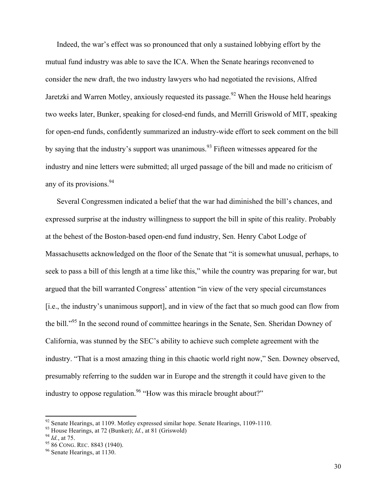Indeed, the war's effect was so pronounced that only a sustained lobbying effort by the mutual fund industry was able to save the ICA. When the Senate hearings reconvened to consider the new draft, the two industry lawyers who had negotiated the revisions, Alfred Jaretzki and Warren Motley, anxiously requested its passage.<sup>92</sup> When the House held hearings two weeks later, Bunker, speaking for closed-end funds, and Merrill Griswold of MIT, speaking for open-end funds, confidently summarized an industry-wide effort to seek comment on the bill by saying that the industry's support was unanimous.<sup>93</sup> Fifteen witnesses appeared for the industry and nine letters were submitted; all urged passage of the bill and made no criticism of any of its provisions.<sup>94</sup>

Several Congressmen indicated a belief that the war had diminished the bill's chances, and expressed surprise at the industry willingness to support the bill in spite of this reality. Probably at the behest of the Boston-based open-end fund industry, Sen. Henry Cabot Lodge of Massachusetts acknowledged on the floor of the Senate that "it is somewhat unusual, perhaps, to seek to pass a bill of this length at a time like this," while the country was preparing for war, but argued that the bill warranted Congress' attention "in view of the very special circumstances [i.e., the industry's unanimous support], and in view of the fact that so much good can flow from the bill."<sup>95</sup> In the second round of committee hearings in the Senate, Sen. Sheridan Downey of California, was stunned by the SEC's ability to achieve such complete agreement with the industry. "That is a most amazing thing in this chaotic world right now," Sen. Downey observed, presumably referring to the sudden war in Europe and the strength it could have given to the industry to oppose regulation.<sup>96</sup> "How was this miracle brought about?"

<sup>&</sup>lt;sup>92</sup> Senate Hearings, at 1109. Motley expressed similar hope. Senate Hearings, 1109-1110.<br><sup>93</sup> House Hearings, at 72 (Bunker); *Id.*, at 81 (Griswold)<br><sup>94</sup> *Id.*, at 75.<br><sup>95</sup> 86 CONG. REC. 8843 (1940).<br><sup>96</sup> Senate Hearing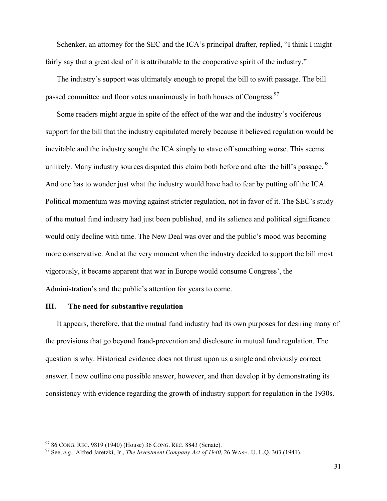Schenker, an attorney for the SEC and the ICA's principal drafter, replied, "I think I might fairly say that a great deal of it is attributable to the cooperative spirit of the industry."

The industry's support was ultimately enough to propel the bill to swift passage. The bill passed committee and floor votes unanimously in both houses of Congress.<sup>97</sup>

Some readers might argue in spite of the effect of the war and the industry's vociferous support for the bill that the industry capitulated merely because it believed regulation would be inevitable and the industry sought the ICA simply to stave off something worse. This seems unlikely. Many industry sources disputed this claim both before and after the bill's passage.<sup>98</sup> And one has to wonder just what the industry would have had to fear by putting off the ICA. Political momentum was moving against stricter regulation, not in favor of it. The SEC's study of the mutual fund industry had just been published, and its salience and political significance would only decline with time. The New Deal was over and the public's mood was becoming more conservative. And at the very moment when the industry decided to support the bill most vigorously, it became apparent that war in Europe would consume Congress', the Administration's and the public's attention for years to come.

# **III. The need for substantive regulation**

It appears, therefore, that the mutual fund industry had its own purposes for desiring many of the provisions that go beyond fraud-prevention and disclosure in mutual fund regulation. The question is why. Historical evidence does not thrust upon us a single and obviously correct answer. I now outline one possible answer, however, and then develop it by demonstrating its consistency with evidence regarding the growth of industry support for regulation in the 1930s.

<sup>97 86</sup> CONG. REC. 9819 (1940) (House) 36 CONG. REC. 8843 (Senate).

<sup>&</sup>lt;sup>98</sup> See, *e.g.*, Alfred Jaretzki, Jr., *The Investment Company Act of 1940*, 26 WASH. U. L.Q. 303 (1941).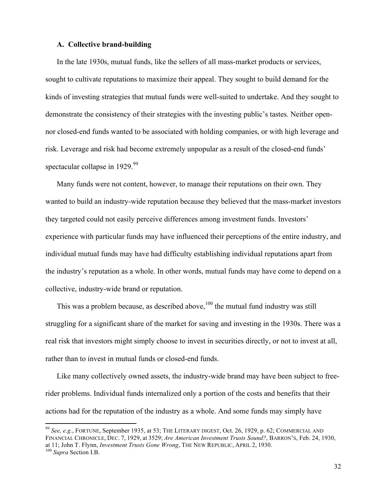## **A. Collective brand-building**

In the late 1930s, mutual funds, like the sellers of all mass-market products or services, sought to cultivate reputations to maximize their appeal. They sought to build demand for the kinds of investing strategies that mutual funds were well-suited to undertake. And they sought to demonstrate the consistency of their strategies with the investing public's tastes. Neither opennor closed-end funds wanted to be associated with holding companies, or with high leverage and risk. Leverage and risk had become extremely unpopular as a result of the closed-end funds' spectacular collapse in 1929.<sup>99</sup>

Many funds were not content, however, to manage their reputations on their own. They wanted to build an industry-wide reputation because they believed that the mass-market investors they targeted could not easily perceive differences among investment funds. Investors' experience with particular funds may have influenced their perceptions of the entire industry, and individual mutual funds may have had difficulty establishing individual reputations apart from the industry's reputation as a whole. In other words, mutual funds may have come to depend on a collective, industry-wide brand or reputation.

This was a problem because, as described above,  $100$  the mutual fund industry was still struggling for a significant share of the market for saving and investing in the 1930s. There was a real risk that investors might simply choose to invest in securities directly, or not to invest at all, rather than to invest in mutual funds or closed-end funds.

Like many collectively owned assets, the industry-wide brand may have been subject to freerider problems. Individual funds internalized only a portion of the costs and benefits that their actions had for the reputation of the industry as a whole. And some funds may simply have

<sup>99</sup> *See, e.g.*, FORTUNE, September 1935, at 53; THE LITERARY DIGEST, Oct. 26, 1929, p. 62; COMMERCIAL AND FINANCIAL CHRONICLE, DEC. 7, 1929, at 3529; *Are American Investment Trusts Sound?*, BARRON'S, Feb. 24, 1930, at 11; John T. Flynn, *Investment Trusts Gone Wrong*, THE NEW REPUBLIC, APRIL 2, 1930. <sup>100</sup> *Supra* Section I.B.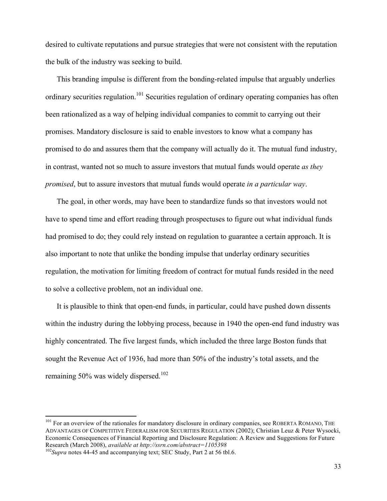desired to cultivate reputations and pursue strategies that were not consistent with the reputation the bulk of the industry was seeking to build.

This branding impulse is different from the bonding-related impulse that arguably underlies ordinary securities regulation.<sup>101</sup> Securities regulation of ordinary operating companies has often been rationalized as a way of helping individual companies to commit to carrying out their promises. Mandatory disclosure is said to enable investors to know what a company has promised to do and assures them that the company will actually do it. The mutual fund industry, in contrast, wanted not so much to assure investors that mutual funds would operate *as they promised*, but to assure investors that mutual funds would operate *in a particular way*.

The goal, in other words, may have been to standardize funds so that investors would not have to spend time and effort reading through prospectuses to figure out what individual funds had promised to do; they could rely instead on regulation to guarantee a certain approach. It is also important to note that unlike the bonding impulse that underlay ordinary securities regulation, the motivation for limiting freedom of contract for mutual funds resided in the need to solve a collective problem, not an individual one.

It is plausible to think that open-end funds, in particular, could have pushed down dissents within the industry during the lobbying process, because in 1940 the open-end fund industry was highly concentrated. The five largest funds, which included the three large Boston funds that sought the Revenue Act of 1936, had more than 50% of the industry's total assets, and the remaining 50% was widely dispersed.<sup>102</sup>

<sup>&</sup>lt;sup>101</sup> For an overview of the rationales for mandatory disclosure in ordinary companies, see ROBERTA ROMANO, THE ADVANTAGES OF COMPETITIVE FEDERALISM FOR SECURITIES REGULATION (2002); Christian Leuz & Peter Wysocki, Economic Consequences of Financial Reporting and Disclosure Regulation: A Review and Suggestions for Future Research (March 2008), *available at http://ssrn.com/abstract=1105398*<br><sup>102</sup>*Supra* notes 44-45 and accompanying text; SEC Study, Part 2 at 56 tbl.6.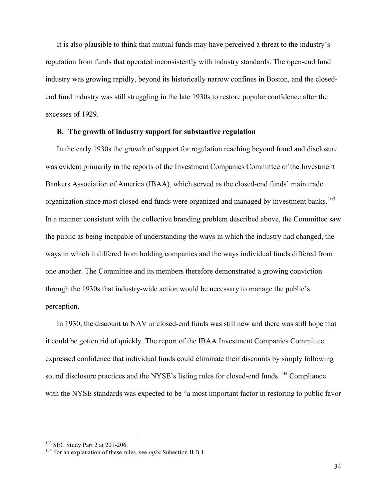It is also plausible to think that mutual funds may have perceived a threat to the industry's reputation from funds that operated inconsistently with industry standards. The open-end fund industry was growing rapidly, beyond its historically narrow confines in Boston, and the closedend fund industry was still struggling in the late 1930s to restore popular confidence after the excesses of 1929.

# **B. The growth of industry support for substantive regulation**

In the early 1930s the growth of support for regulation reaching beyond fraud and disclosure was evident primarily in the reports of the Investment Companies Committee of the Investment Bankers Association of America (IBAA), which served as the closed-end funds' main trade organization since most closed-end funds were organized and managed by investment banks.<sup>103</sup> In a manner consistent with the collective branding problem described above, the Committee saw the public as being incapable of understanding the ways in which the industry had changed, the ways in which it differed from holding companies and the ways individual funds differed from one another. The Committee and its members therefore demonstrated a growing conviction through the 1930s that industry-wide action would be necessary to manage the public's perception.

In 1930, the discount to NAV in closed-end funds was still new and there was still hope that it could be gotten rid of quickly. The report of the IBAA Investment Companies Committee expressed confidence that individual funds could eliminate their discounts by simply following sound disclosure practices and the NYSE's listing rules for closed-end funds.<sup>104</sup> Compliance with the NYSE standards was expected to be "a most important factor in restoring to public favor

<sup>&</sup>lt;sup>103</sup> SEC Study Part 2 at 201-206.<br><sup>104</sup> For an explanation of these rules, see *infra* Subection II.B.1.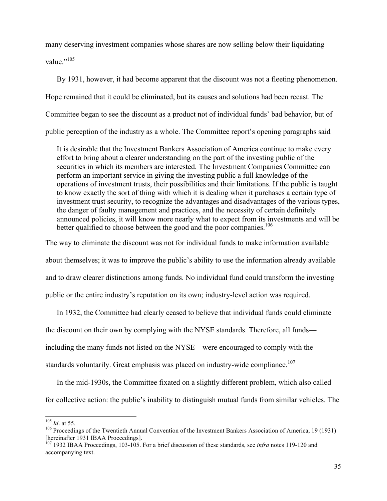many deserving investment companies whose shares are now selling below their liquidating value." $^{105}$ 

By 1931, however, it had become apparent that the discount was not a fleeting phenomenon. Hope remained that it could be eliminated, but its causes and solutions had been recast. The Committee began to see the discount as a product not of individual funds' bad behavior, but of public perception of the industry as a whole. The Committee report's opening paragraphs said

It is desirable that the Investment Bankers Association of America continue to make every effort to bring about a clearer understanding on the part of the investing public of the securities in which its members are interested. The Investment Companies Committee can perform an important service in giving the investing public a full knowledge of the operations of investment trusts, their possibilities and their limitations. If the public is taught to know exactly the sort of thing with which it is dealing when it purchases a certain type of investment trust security, to recognize the advantages and disadvantages of the various types, the danger of faulty management and practices, and the necessity of certain definitely announced policies, it will know more nearly what to expect from its investments and will be better qualified to choose between the good and the poor companies.<sup>106</sup>

The way to eliminate the discount was not for individual funds to make information available

about themselves; it was to improve the public's ability to use the information already available and to draw clearer distinctions among funds. No individual fund could transform the investing public or the entire industry's reputation on its own; industry-level action was required.

In 1932, the Committee had clearly ceased to believe that individual funds could eliminate the discount on their own by complying with the NYSE standards. Therefore, all funds including the many funds not listed on the NYSE—were encouraged to comply with the standards voluntarily. Great emphasis was placed on industry-wide compliance.<sup>107</sup>

In the mid-1930s, the Committee fixated on a slightly different problem, which also called for collective action: the public's inability to distinguish mutual funds from similar vehicles. The

<sup>&</sup>lt;sup>105</sup> *Id.* at 55.<br><sup>106</sup> Proceedings of the Twentieth Annual Convention of the Investment Bankers Association of America, 19 (1931) [hereinafter 1931 IBAA Proceedings].

<sup>107</sup> 1932 IBAA Proceedings, 103-105. For a brief discussion of these standards, see *infra* notes 119-120 and accompanying text.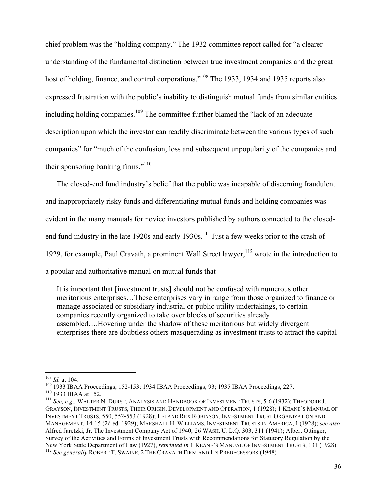chief problem was the "holding company." The 1932 committee report called for "a clearer understanding of the fundamental distinction between true investment companies and the great host of holding, finance, and control corporations."<sup>108</sup> The 1933, 1934 and 1935 reports also expressed frustration with the public's inability to distinguish mutual funds from similar entities including holding companies.<sup>109</sup> The committee further blamed the "lack of an adequate description upon which the investor can readily discriminate between the various types of such companies" for "much of the confusion, loss and subsequent unpopularity of the companies and their sponsoring banking firms."<sup>110</sup>

The closed-end fund industry's belief that the public was incapable of discerning fraudulent and inappropriately risky funds and differentiating mutual funds and holding companies was evident in the many manuals for novice investors published by authors connected to the closedend fund industry in the late 1920s and early 1930s.<sup>111</sup> Just a few weeks prior to the crash of 1929, for example, Paul Cravath, a prominent Wall Street lawyer,  $112$  wrote in the introduction to a popular and authoritative manual on mutual funds that

It is important that [investment trusts] should not be confused with numerous other meritorious enterprises…These enterprises vary in range from those organized to finance or manage associated or subsidiary industrial or public utility undertakings, to certain companies recently organized to take over blocks of securities already assembled….Hovering under the shadow of these meritorious but widely divergent enterprises there are doubtless others masquerading as investment trusts to attract the capital

<sup>&</sup>lt;sup>108</sup> *Id.* at 104.<br><sup>109</sup> 1933 IBAA Proceedings, 152-153; 1934 IBAA Proceedings, 93; 1935 IBAA Proceedings, 227.<br><sup>110</sup> 1933 IBAA at 152.<br><sup>111</sup> *See, e.g.*, WALTER N. DURST, ANALYSIS AND HANDBOOK OF INVESTMENT TRUSTS, 5-6

GRAYSON, INVESTMENT TRUSTS, THEIR ORIGIN, DEVELOPMENT AND OPERATION, 1 (1928); 1 KEANE'S MANUAL OF INVESTMENT TRUSTS, 550, 552-553 (1928); LELAND REX ROBINSON, INVESTMENT TRUST ORGANIZATION AND MANAGEMENT, 14-15 (2d ed. 1929); MARSHALL H. WILLIAMS, INVESTMENT TRUSTS IN AMERICA, 1 (1928); *see also*  Alfred Jaretzki, Jr. The Investment Company Act of 1940, 26 WASH. U. L.Q. 303, 311 (1941); Albert Ottinger, Survey of the Activities and Forms of Investment Trusts with Recommendations for Statutory Regulation by the New York State Department of Law (1927), *reprinted in* 1 KEANE'S MANUAL OF INVESTMENT TRUSTS, 131 (1928).<br><sup>112</sup> *See generally* ROBERT T. SWAINE, 2 THE CRAVATH FIRM AND ITS PREDECESSORS (1948)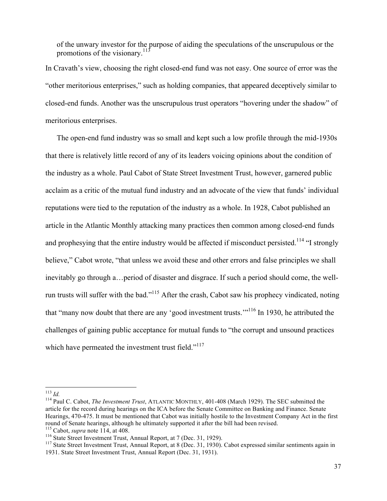of the unwary investor for the purpose of aiding the speculations of the unscrupulous or the promotions of the visionary.<sup>113</sup>

In Cravath's view, choosing the right closed-end fund was not easy. One source of error was the "other meritorious enterprises," such as holding companies, that appeared deceptively similar to closed-end funds. Another was the unscrupulous trust operators "hovering under the shadow" of meritorious enterprises.

The open-end fund industry was so small and kept such a low profile through the mid-1930s that there is relatively little record of any of its leaders voicing opinions about the condition of the industry as a whole. Paul Cabot of State Street Investment Trust, however, garnered public acclaim as a critic of the mutual fund industry and an advocate of the view that funds' individual reputations were tied to the reputation of the industry as a whole. In 1928, Cabot published an article in the Atlantic Monthly attacking many practices then common among closed-end funds and prophesying that the entire industry would be affected if misconduct persisted.<sup>114</sup> "I strongly believe," Cabot wrote, "that unless we avoid these and other errors and false principles we shall inevitably go through a…period of disaster and disgrace. If such a period should come, the wellrun trusts will suffer with the bad."<sup>115</sup> After the crash, Cabot saw his prophecy vindicated, noting that "many now doubt that there are any 'good investment trusts.'"116 In 1930, he attributed the challenges of gaining public acceptance for mutual funds to "the corrupt and unsound practices which have permeated the investment trust field."<sup>117</sup>

<sup>113</sup> *Id.* <sup>114</sup> Paul C. Cabot, *The Investment Trust*, ATLANTIC MONTHLY, 401-408 (March 1929). The SEC submitted the article for the record during hearings on the ICA before the Senate Committee on Banking and Finance. Senate Hearings, 470-475. It must be mentioned that Cabot was initially hostile to the Investment Company Act in the first round of Senate hearings, although he ultimately supported it after the bill had been revised.<br><sup>115</sup> Cabot, *supra* note 114, at 408.

<sup>&</sup>lt;sup>116</sup> State Street Investment Trust, Annual Report, at 7 (Dec. 31, 1929).<br><sup>117</sup> State Street Investment Trust, Annual Report, at 8 (Dec. 31, 1930). Cabot expressed similar sentiments again in 1931. State Street Investment Trust, Annual Report (Dec. 31, 1931).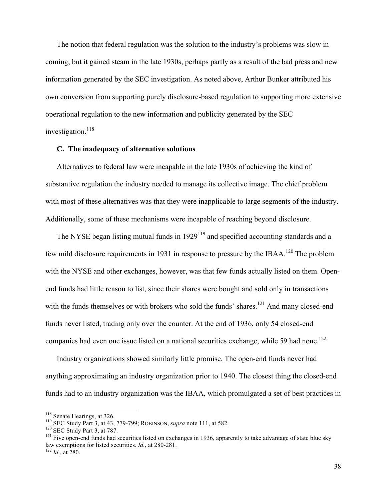The notion that federal regulation was the solution to the industry's problems was slow in coming, but it gained steam in the late 1930s, perhaps partly as a result of the bad press and new information generated by the SEC investigation. As noted above, Arthur Bunker attributed his own conversion from supporting purely disclosure-based regulation to supporting more extensive operational regulation to the new information and publicity generated by the SEC investigation. 118

# **C. The inadequacy of alternative solutions**

Alternatives to federal law were incapable in the late 1930s of achieving the kind of substantive regulation the industry needed to manage its collective image. The chief problem with most of these alternatives was that they were inapplicable to large segments of the industry. Additionally, some of these mechanisms were incapable of reaching beyond disclosure.

The NYSE began listing mutual funds in  $1929^{119}$  and specified accounting standards and a few mild disclosure requirements in 1931 in response to pressure by the IBAA.<sup>120</sup> The problem with the NYSE and other exchanges, however, was that few funds actually listed on them. Openend funds had little reason to list, since their shares were bought and sold only in transactions with the funds themselves or with brokers who sold the funds' shares.<sup>121</sup> And many closed-end funds never listed, trading only over the counter. At the end of 1936, only 54 closed-end companies had even one issue listed on a national securities exchange, while 59 had none.<sup>122</sup>

Industry organizations showed similarly little promise. The open-end funds never had anything approximating an industry organization prior to 1940. The closest thing the closed-end funds had to an industry organization was the IBAA, which promulgated a set of best practices in

<sup>&</sup>lt;sup>118</sup> Senate Hearings, at 326.<br><sup>119</sup> SEC Study Part 3, at 43, 779-799; ROBINSON, *supra* note 111, at 582.<br><sup>120</sup> SEC Study Part 3, at 787.<br><sup>121</sup> Five open-end funds had securities listed on exchanges in 1936, apparently t law exemptions for listed securities. *Id.*, at 280-281. 122 *Id.*, at 280.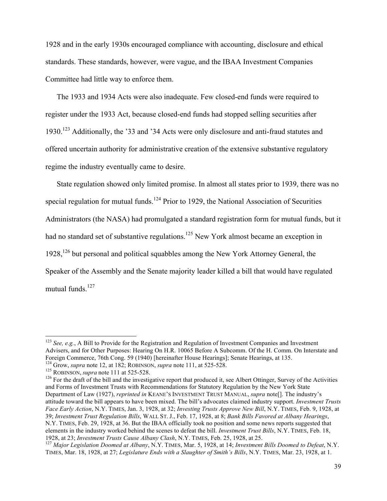1928 and in the early 1930s encouraged compliance with accounting, disclosure and ethical standards. These standards, however, were vague, and the IBAA Investment Companies Committee had little way to enforce them.

The 1933 and 1934 Acts were also inadequate. Few closed-end funds were required to register under the 1933 Act, because closed-end funds had stopped selling securities after 1930.123 Additionally, the '33 and '34 Acts were only disclosure and anti-fraud statutes and offered uncertain authority for administrative creation of the extensive substantive regulatory regime the industry eventually came to desire.

State regulation showed only limited promise. In almost all states prior to 1939, there was no special regulation for mutual funds.<sup>124</sup> Prior to 1929, the National Association of Securities Administrators (the NASA) had promulgated a standard registration form for mutual funds, but it had no standard set of substantive regulations.<sup>125</sup> New York almost became an exception in  $1928$ ,  $126$  but personal and political squabbles among the New York Attorney General, the Speaker of the Assembly and the Senate majority leader killed a bill that would have regulated mutual funds. 127

<sup>123</sup> *See, e.g.*, A Bill to Provide for the Registration and Regulation of Investment Companies and Investment Advisers, and for Other Purposes: Hearing On H.R. 10065 Before A Subcomm. Of the H. Comm. On Interstate and Foreign Commerce, 76th Cong. 59 (1940) [hereinafter House Hearings]; Senate Hearings, at 135.<br><sup>124</sup> Grow, *supra* note 12, at 182; ROBINSON, *supra* note 111, at 525-528.<br><sup>125</sup> ROBINSON, *supra* note 111 at 525-528.<br><sup>126</sup>

and Forms of Investment Trusts with Recommendations for Statutory Regulation by the New York State Department of Law (1927), *reprinted in* KEANE'S INVESTMENT TRUST MANUAL, *supra* note[]. The industry's attitude toward the bill appears to have been mixed. The bill's advocates claimed industry support. *Investment Trusts Face Early Action*, N.Y. TIMES, Jan. 3, 1928, at 32; *Investing Trusts Approve New Bill*, N.Y. TIMES, Feb. 9, 1928, at 39; *Investment Trust Regulation Bills*, WALL ST. J., Feb. 17, 1928, at 8; *Bank Bills Favored at Albany Hearings*, N.Y. TIMES, Feb. 29, 1928, at 36. But the IBAA officially took no position and some news reports suggested that elements in the industry worked behind the scenes to defeat the bill. *Investment Trust Bills*, N.Y. TIMES, Feb. 18, 1928, at 23; *Investment Trusts Cause Albany Clash*, N.Y. TIMES, Feb. 25, 1928, at 25.<br><sup>127</sup> *Major Legislation Doomed at Albany*, N.Y. TIMES, Mar. 5, 1928, at 14; *Investment Bills Doomed to Defeat*, N.Y.

TIMES, Mar. 18, 1928, at 27; *Legislature Ends with a Slaughter of Smith's Bills*, N.Y. TIMES, Mar. 23, 1928, at 1.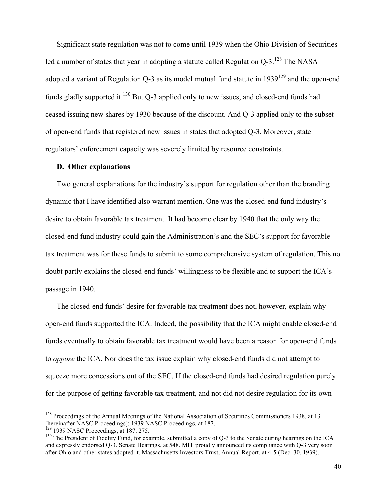Significant state regulation was not to come until 1939 when the Ohio Division of Securities led a number of states that year in adopting a statute called Regulation  $Q-3$ .<sup>128</sup> The NASA adopted a variant of Regulation Q-3 as its model mutual fund statute in  $1939^{129}$  and the open-end funds gladly supported it. $^{130}$  But Q-3 applied only to new issues, and closed-end funds had ceased issuing new shares by 1930 because of the discount. And Q-3 applied only to the subset of open-end funds that registered new issues in states that adopted Q-3. Moreover, state regulators' enforcement capacity was severely limited by resource constraints.

#### **D. Other explanations**

Two general explanations for the industry's support for regulation other than the branding dynamic that I have identified also warrant mention. One was the closed-end fund industry's desire to obtain favorable tax treatment. It had become clear by 1940 that the only way the closed-end fund industry could gain the Administration's and the SEC's support for favorable tax treatment was for these funds to submit to some comprehensive system of regulation. This no doubt partly explains the closed-end funds' willingness to be flexible and to support the ICA's passage in 1940.

The closed-end funds' desire for favorable tax treatment does not, however, explain why open-end funds supported the ICA. Indeed, the possibility that the ICA might enable closed-end funds eventually to obtain favorable tax treatment would have been a reason for open-end funds to *oppose* the ICA. Nor does the tax issue explain why closed-end funds did not attempt to squeeze more concessions out of the SEC. If the closed-end funds had desired regulation purely for the purpose of getting favorable tax treatment, and not did not desire regulation for its own

<sup>&</sup>lt;sup>128</sup> Proceedings of the Annual Meetings of the National Association of Securities Commissioners 1938, at 13 [hereinafter NASC Proceedings]; 1939 NASC Proceedings, at 187.<br><sup>129</sup> 1939 NASC Proceedings, at 187, 275.

 $130$  The President of Fidelity Fund, for example, submitted a copy of Q-3 to the Senate during hearings on the ICA and expressly endorsed Q-3. Senate Hearings, at 548. MIT proudly announced its compliance with Q-3 very soon after Ohio and other states adopted it. Massachusetts Investors Trust, Annual Report, at 4-5 (Dec. 30, 1939).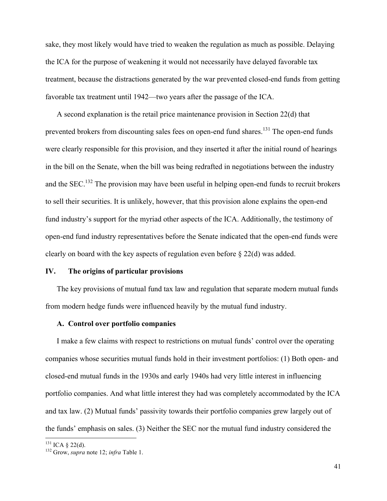sake, they most likely would have tried to weaken the regulation as much as possible. Delaying the ICA for the purpose of weakening it would not necessarily have delayed favorable tax treatment, because the distractions generated by the war prevented closed-end funds from getting favorable tax treatment until 1942—two years after the passage of the ICA.

A second explanation is the retail price maintenance provision in Section 22(d) that prevented brokers from discounting sales fees on open-end fund shares.<sup>131</sup> The open-end funds were clearly responsible for this provision, and they inserted it after the initial round of hearings in the bill on the Senate, when the bill was being redrafted in negotiations between the industry and the SEC.<sup>132</sup> The provision may have been useful in helping open-end funds to recruit brokers to sell their securities. It is unlikely, however, that this provision alone explains the open-end fund industry's support for the myriad other aspects of the ICA. Additionally, the testimony of open-end fund industry representatives before the Senate indicated that the open-end funds were clearly on board with the key aspects of regulation even before § 22(d) was added.

# **IV. The origins of particular provisions**

The key provisions of mutual fund tax law and regulation that separate modern mutual funds from modern hedge funds were influenced heavily by the mutual fund industry.

# **A. Control over portfolio companies**

I make a few claims with respect to restrictions on mutual funds' control over the operating companies whose securities mutual funds hold in their investment portfolios: (1) Both open- and closed-end mutual funds in the 1930s and early 1940s had very little interest in influencing portfolio companies. And what little interest they had was completely accommodated by the ICA and tax law. (2) Mutual funds' passivity towards their portfolio companies grew largely out of the funds' emphasis on sales. (3) Neither the SEC nor the mutual fund industry considered the

<sup>131</sup> ICA § 22(d). <sup>132</sup> Grow, *supra* note 12; *infra* Table 1.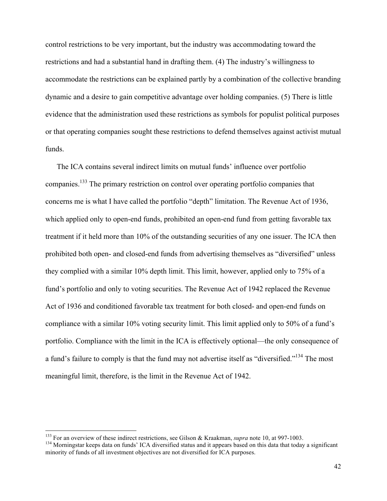control restrictions to be very important, but the industry was accommodating toward the restrictions and had a substantial hand in drafting them. (4) The industry's willingness to accommodate the restrictions can be explained partly by a combination of the collective branding dynamic and a desire to gain competitive advantage over holding companies. (5) There is little evidence that the administration used these restrictions as symbols for populist political purposes or that operating companies sought these restrictions to defend themselves against activist mutual funds.

The ICA contains several indirect limits on mutual funds' influence over portfolio companies.133 The primary restriction on control over operating portfolio companies that concerns me is what I have called the portfolio "depth" limitation. The Revenue Act of 1936, which applied only to open-end funds, prohibited an open-end fund from getting favorable tax treatment if it held more than 10% of the outstanding securities of any one issuer. The ICA then prohibited both open- and closed-end funds from advertising themselves as "diversified" unless they complied with a similar 10% depth limit. This limit, however, applied only to 75% of a fund's portfolio and only to voting securities. The Revenue Act of 1942 replaced the Revenue Act of 1936 and conditioned favorable tax treatment for both closed- and open-end funds on compliance with a similar 10% voting security limit. This limit applied only to 50% of a fund's portfolio. Compliance with the limit in the ICA is effectively optional—the only consequence of a fund's failure to comply is that the fund may not advertise itself as "diversified."134 The most meaningful limit, therefore, is the limit in the Revenue Act of 1942.

<sup>&</sup>lt;sup>133</sup> For an overview of these indirect restrictions, see Gilson & Kraakman, *supra* note 10, at 997-1003.<br><sup>134</sup> Morningstar keeps data on funds' ICA diversified status and it appears based on this data that today a signi minority of funds of all investment objectives are not diversified for ICA purposes.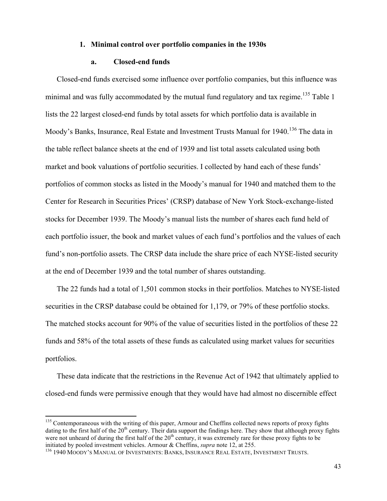#### **1. Minimal control over portfolio companies in the 1930s**

#### **a. Closed-end funds**

Closed-end funds exercised some influence over portfolio companies, but this influence was minimal and was fully accommodated by the mutual fund regulatory and tax regime.<sup>135</sup> Table 1 lists the 22 largest closed-end funds by total assets for which portfolio data is available in Moody's Banks, Insurance, Real Estate and Investment Trusts Manual for 1940.<sup>136</sup> The data in the table reflect balance sheets at the end of 1939 and list total assets calculated using both market and book valuations of portfolio securities. I collected by hand each of these funds' portfolios of common stocks as listed in the Moody's manual for 1940 and matched them to the Center for Research in Securities Prices' (CRSP) database of New York Stock-exchange-listed stocks for December 1939. The Moody's manual lists the number of shares each fund held of each portfolio issuer, the book and market values of each fund's portfolios and the values of each fund's non-portfolio assets. The CRSP data include the share price of each NYSE-listed security at the end of December 1939 and the total number of shares outstanding.

The 22 funds had a total of 1,501 common stocks in their portfolios. Matches to NYSE-listed securities in the CRSP database could be obtained for 1,179, or 79% of these portfolio stocks. The matched stocks account for 90% of the value of securities listed in the portfolios of these 22 funds and 58% of the total assets of these funds as calculated using market values for securities portfolios.

These data indicate that the restrictions in the Revenue Act of 1942 that ultimately applied to closed-end funds were permissive enough that they would have had almost no discernible effect

<sup>&</sup>lt;sup>135</sup> Contemporaneous with the writing of this paper, Armour and Cheffins collected news reports of proxy fights dating to the first half of the  $20<sup>th</sup>$  century. Their data support the findings here. They show that although proxy fights were not unheard of during the first half of the  $20<sup>th</sup>$  century, it was extremely rare for these proxy fights to be initiated by pooled investment vehicles. Armour & Cheffins, *supra* note 12, at 255.<br><sup>136</sup> 1940 MOODY'S MANUAL OF INVESTMENTS: BANKS, INSURANCE REAL ESTATE, INVESTMENT TRUSTS.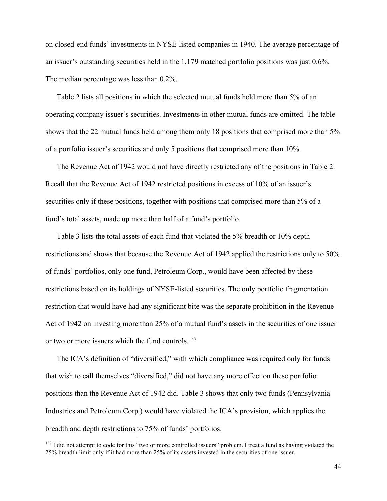on closed-end funds' investments in NYSE-listed companies in 1940. The average percentage of an issuer's outstanding securities held in the 1,179 matched portfolio positions was just 0.6%. The median percentage was less than 0.2%.

Table 2 lists all positions in which the selected mutual funds held more than 5% of an operating company issuer's securities. Investments in other mutual funds are omitted. The table shows that the 22 mutual funds held among them only 18 positions that comprised more than 5% of a portfolio issuer's securities and only 5 positions that comprised more than 10%.

The Revenue Act of 1942 would not have directly restricted any of the positions in Table 2. Recall that the Revenue Act of 1942 restricted positions in excess of 10% of an issuer's securities only if these positions, together with positions that comprised more than 5% of a fund's total assets, made up more than half of a fund's portfolio.

Table 3 lists the total assets of each fund that violated the 5% breadth or 10% depth restrictions and shows that because the Revenue Act of 1942 applied the restrictions only to 50% of funds' portfolios, only one fund, Petroleum Corp., would have been affected by these restrictions based on its holdings of NYSE-listed securities. The only portfolio fragmentation restriction that would have had any significant bite was the separate prohibition in the Revenue Act of 1942 on investing more than 25% of a mutual fund's assets in the securities of one issuer or two or more issuers which the fund controls.<sup>137</sup>

The ICA's definition of "diversified," with which compliance was required only for funds that wish to call themselves "diversified," did not have any more effect on these portfolio positions than the Revenue Act of 1942 did. Table 3 shows that only two funds (Pennsylvania Industries and Petroleum Corp.) would have violated the ICA's provision, which applies the breadth and depth restrictions to 75% of funds' portfolios.

 $137$  I did not attempt to code for this "two or more controlled issuers" problem. I treat a fund as having violated the 25% breadth limit only if it had more than 25% of its assets invested in the securities of one issuer.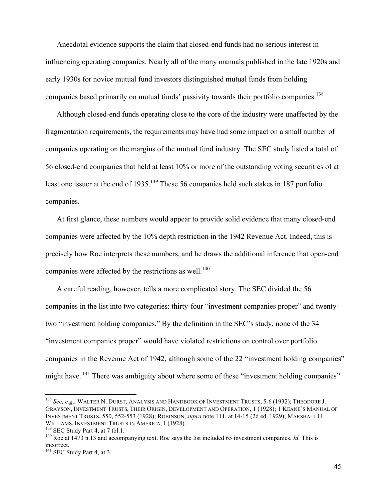Anecdotal evidence supports the claim that closed-end funds had no serious interest in influencing operating companies. Nearly all of the many manuals published in the late 1920s and early 1930s for novice mutual fund investors distinguished mutual funds from holding companies based primarily on mutual funds' passivity towards their portfolio companies.<sup>138</sup>

Although closed-end funds operating close to the core of the industry were unaffected by the fragmentation requirements, the requirements may have had some impact on a small number of companies operating on the margins of the mutual fund industry. The SEC study listed a total of 56 closed-end companies that held at least 10% or more of the outstanding voting securities of at least one issuer at the end of 1935.<sup>139</sup> These 56 companies held such stakes in 187 portfolio companies.

At first glance, these numbers would appear to provide solid evidence that many closed-end companies were affected by the 10% depth restriction in the 1942 Revenue Act. Indeed, this is precisely how Roe interprets these numbers, and he draws the additional inference that open-end companies were affected by the restrictions as well.<sup>140</sup>

A careful reading, however, tells a more complicated story. The SEC divided the 56 companies in the list into two categories: thirty-four "investment companies proper" and twentytwo "investment holding companies." By the definition in the SEC's study, none of the 34 "investment companies proper" would have violated restrictions on control over portfolio companies in the Revenue Act of 1942, although some of the 22 "investment holding companies" might have. <sup>141</sup> There was ambiguity about where some of these "investment holding companies"

<sup>138</sup> *See, e.g*., WALTER N. DURST, ANALYSIS AND HANDBOOK OF INVESTMENT TRUSTS, 5-6 (1932); THEODORE J. GRAYSON, INVESTMENT TRUSTS, THEIR ORIGIN, DEVELOPMENT AND OPERATION, 1 (1928); 1 KEANE'S MANUAL OF INVESTMENT TRUSTS, 550, 552-553 (1928); ROBINSON, *supra* note 111, at 14-15 (2d ed. 1929); MARSHALL H. WILLIAMS, INVESTMENT TRUSTS IN AMERICA, 1 (1928).<br><sup>139</sup> SEC Study Part 4, at 7 tbl.1.<br><sup>140</sup> Roe at 1473 n.13 and accompanying text. Roe says the list included 65 investment companies. *Id.* This is

incorrect.

<sup>&</sup>lt;sup>141</sup> SEC Study Part 4, at 3.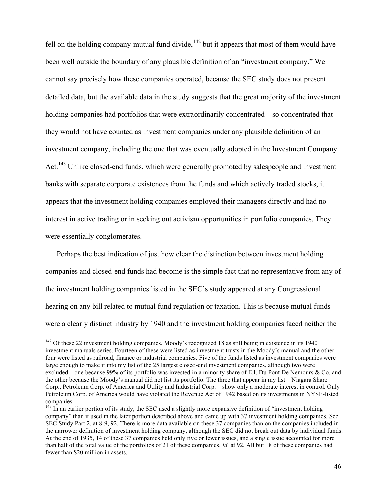fell on the holding company-mutual fund divide,  $142$  but it appears that most of them would have been well outside the boundary of any plausible definition of an "investment company." We cannot say precisely how these companies operated, because the SEC study does not present detailed data, but the available data in the study suggests that the great majority of the investment holding companies had portfolios that were extraordinarily concentrated—so concentrated that they would not have counted as investment companies under any plausible definition of an investment company, including the one that was eventually adopted in the Investment Company Act.<sup>143</sup> Unlike closed-end funds, which were generally promoted by salespeople and investment banks with separate corporate existences from the funds and which actively traded stocks, it appears that the investment holding companies employed their managers directly and had no interest in active trading or in seeking out activism opportunities in portfolio companies. They were essentially conglomerates.

Perhaps the best indication of just how clear the distinction between investment holding companies and closed-end funds had become is the simple fact that no representative from any of the investment holding companies listed in the SEC's study appeared at any Congressional hearing on any bill related to mutual fund regulation or taxation. This is because mutual funds were a clearly distinct industry by 1940 and the investment holding companies faced neither the

<sup>&</sup>lt;sup>142</sup> Of these 22 investment holding companies, Moody's recognized 18 as still being in existence in its 1940 investment manuals series. Fourteen of these were listed as investment trusts in the Moody's manual and the other four were listed as railroad, finance or industrial companies. Five of the funds listed as investment companies were large enough to make it into my list of the 25 largest closed-end investment companies, although two were excluded—one because 99% of its portfolio was invested in a minority share of E.I. Du Pont De Nemours & Co. and the other because the Moody's manual did not list its portfolio. The three that appear in my list—Niagara Share Corp., Petroleum Corp. of America and Utility and Industrial Corp.—show only a moderate interest in control. Only Petroleum Corp. of America would have violated the Revenue Act of 1942 based on its investments in NYSE-listed companies.

<sup>&</sup>lt;sup>143</sup> In an earlier portion of its study, the SEC used a slightly more expansive definition of "investment holding company" than it used in the later portion described above and came up with 37 investment holding companies. See SEC Study Part 2, at 8-9, 92. There is more data available on these 37 companies than on the companies included in the narrower definition of investment holding company, although the SEC did not break out data by individual funds. At the end of 1935, 14 of these 37 companies held only five or fewer issues, and a single issue accounted for more than half of the total value of the portfolios of 21 of these companies. *Id.* at 92*.* All but 18 of these companies had fewer than \$20 million in assets.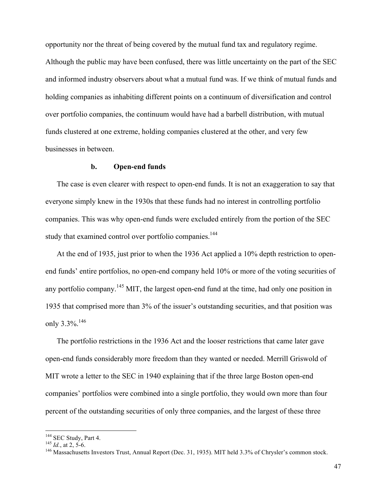opportunity nor the threat of being covered by the mutual fund tax and regulatory regime. Although the public may have been confused, there was little uncertainty on the part of the SEC and informed industry observers about what a mutual fund was. If we think of mutual funds and holding companies as inhabiting different points on a continuum of diversification and control over portfolio companies, the continuum would have had a barbell distribution, with mutual funds clustered at one extreme, holding companies clustered at the other, and very few businesses in between.

# **b. Open-end funds**

The case is even clearer with respect to open-end funds. It is not an exaggeration to say that everyone simply knew in the 1930s that these funds had no interest in controlling portfolio companies. This was why open-end funds were excluded entirely from the portion of the SEC study that examined control over portfolio companies.<sup>144</sup>

At the end of 1935, just prior to when the 1936 Act applied a 10% depth restriction to openend funds' entire portfolios, no open-end company held 10% or more of the voting securities of any portfolio company.<sup>145</sup> MIT, the largest open-end fund at the time, had only one position in 1935 that comprised more than 3% of the issuer's outstanding securities, and that position was only  $3.3\%$ <sup>146</sup>

The portfolio restrictions in the 1936 Act and the looser restrictions that came later gave open-end funds considerably more freedom than they wanted or needed. Merrill Griswold of MIT wrote a letter to the SEC in 1940 explaining that if the three large Boston open-end companies' portfolios were combined into a single portfolio, they would own more than four percent of the outstanding securities of only three companies, and the largest of these three

<sup>&</sup>lt;sup>144</sup> SEC Study, Part 4.

<sup>&</sup>lt;sup>145</sup> *Id.*, at 2, 5-6. 146 *Id.*, at 2, 5-6. 146 Massachusetts Investors Trust, Annual Report (Dec. 31, 1935). MIT held 3.3% of Chrysler's common stock.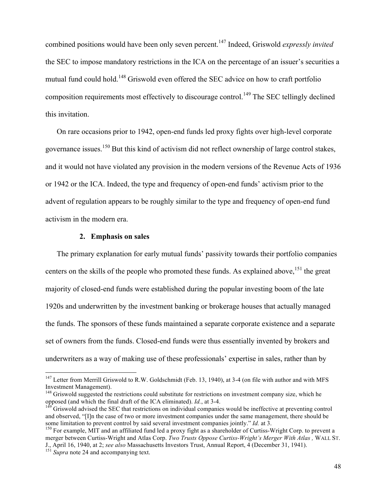combined positions would have been only seven percent.147 Indeed, Griswold *expressly invited* the SEC to impose mandatory restrictions in the ICA on the percentage of an issuer's securities a mutual fund could hold.<sup>148</sup> Griswold even offered the SEC advice on how to craft portfolio composition requirements most effectively to discourage control.<sup>149</sup> The SEC tellingly declined this invitation.

On rare occasions prior to 1942, open-end funds led proxy fights over high-level corporate governance issues.<sup>150</sup> But this kind of activism did not reflect ownership of large control stakes, and it would not have violated any provision in the modern versions of the Revenue Acts of 1936 or 1942 or the ICA. Indeed, the type and frequency of open-end funds' activism prior to the advent of regulation appears to be roughly similar to the type and frequency of open-end fund activism in the modern era.

#### **2. Emphasis on sales**

The primary explanation for early mutual funds' passivity towards their portfolio companies centers on the skills of the people who promoted these funds. As explained above,<sup>151</sup> the great majority of closed-end funds were established during the popular investing boom of the late 1920s and underwritten by the investment banking or brokerage houses that actually managed the funds. The sponsors of these funds maintained a separate corporate existence and a separate set of owners from the funds. Closed-end funds were thus essentially invented by brokers and underwriters as a way of making use of these professionals' expertise in sales, rather than by

<sup>&</sup>lt;sup>147</sup> Letter from Merrill Griswold to R.W. Goldschmidt (Feb. 13, 1940), at 3-4 (on file with author and with MFS Investment Management).

<sup>&</sup>lt;sup>148</sup> Griswold suggested the restrictions could substitute for restrictions on investment company size, which he opposed (and which the final draft of the ICA eliminated). *Id.*, at 3-4.<br><sup>149</sup> Griswold advised the SEC that restrictions on individual companies would be ineffective at preventing control

and observed, "[I]n the case of two or more investment companies under the same management, there should be some limitation to prevent control by said several investment companies jointly." *Id.* at 3.

<sup>&</sup>lt;sup>150</sup> For example, MIT and an affiliated fund led a proxy fight as a shareholder of Curtiss-Wright Corp. to prevent a merger between Curtiss-Wright and Atlas Corp. *Two Trusts Oppose Curtiss-Wright's Merger With Atlas ,* WALL ST. J., April 16, 1940, at 2; *see also* Massachusetts Investors Trust, Annual Report, 4 (December 31, 1941). 151 *Supra* note 24 and accompanying text.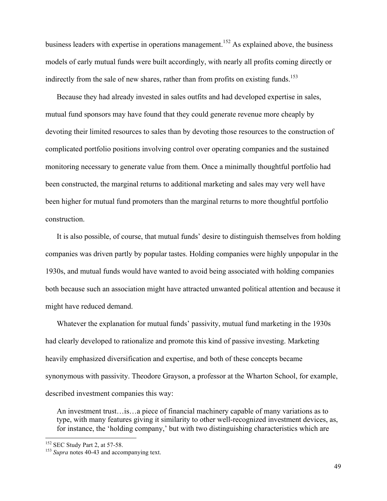business leaders with expertise in operations management.<sup>152</sup> As explained above, the business models of early mutual funds were built accordingly, with nearly all profits coming directly or indirectly from the sale of new shares, rather than from profits on existing funds.<sup>153</sup>

Because they had already invested in sales outfits and had developed expertise in sales, mutual fund sponsors may have found that they could generate revenue more cheaply by devoting their limited resources to sales than by devoting those resources to the construction of complicated portfolio positions involving control over operating companies and the sustained monitoring necessary to generate value from them. Once a minimally thoughtful portfolio had been constructed, the marginal returns to additional marketing and sales may very well have been higher for mutual fund promoters than the marginal returns to more thoughtful portfolio construction.

It is also possible, of course, that mutual funds' desire to distinguish themselves from holding companies was driven partly by popular tastes. Holding companies were highly unpopular in the 1930s, and mutual funds would have wanted to avoid being associated with holding companies both because such an association might have attracted unwanted political attention and because it might have reduced demand.

Whatever the explanation for mutual funds' passivity, mutual fund marketing in the 1930s had clearly developed to rationalize and promote this kind of passive investing. Marketing heavily emphasized diversification and expertise, and both of these concepts became synonymous with passivity. Theodore Grayson, a professor at the Wharton School, for example, described investment companies this way:

An investment trust…is…a piece of financial machinery capable of many variations as to type, with many features giving it similarity to other well-recognized investment devices, as, for instance, the 'holding company,' but with two distinguishing characteristics which are

<sup>&</sup>lt;sup>152</sup> SEC Study Part 2, at 57-58.<br><sup>153</sup> *Supra* notes 40-43 and accompanying text.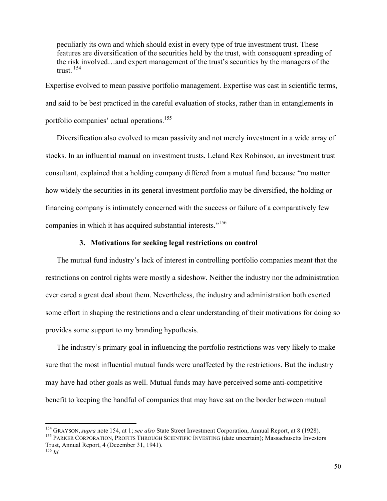peculiarly its own and which should exist in every type of true investment trust. These features are diversification of the securities held by the trust, with consequent spreading of the risk involved…and expert management of the trust's securities by the managers of the trust. <sup>154</sup>

Expertise evolved to mean passive portfolio management. Expertise was cast in scientific terms, and said to be best practiced in the careful evaluation of stocks, rather than in entanglements in portfolio companies' actual operations.<sup>155</sup>

Diversification also evolved to mean passivity and not merely investment in a wide array of stocks. In an influential manual on investment trusts, Leland Rex Robinson, an investment trust consultant, explained that a holding company differed from a mutual fund because "no matter how widely the securities in its general investment portfolio may be diversified, the holding or financing company is intimately concerned with the success or failure of a comparatively few companies in which it has acquired substantial interests."156

# **3. Motivations for seeking legal restrictions on control**

The mutual fund industry's lack of interest in controlling portfolio companies meant that the restrictions on control rights were mostly a sideshow. Neither the industry nor the administration ever cared a great deal about them. Nevertheless, the industry and administration both exerted some effort in shaping the restrictions and a clear understanding of their motivations for doing so provides some support to my branding hypothesis.

The industry's primary goal in influencing the portfolio restrictions was very likely to make sure that the most influential mutual funds were unaffected by the restrictions. But the industry may have had other goals as well. Mutual funds may have perceived some anti-competitive benefit to keeping the handful of companies that may have sat on the border between mutual

<sup>&</sup>lt;sup>154</sup> GRAYSON, *supra* note 154, at 1; *see also* State Street Investment Corporation, Annual Report, at 8 (1928).<br><sup>155</sup> PARKER CORPORATION, PROFITS THROUGH SCIENTIFIC INVESTING (date uncertain); Massachusetts Investors

Trust, Annual Report, 4 (December 31, 1941). <sup>156</sup> *Id.*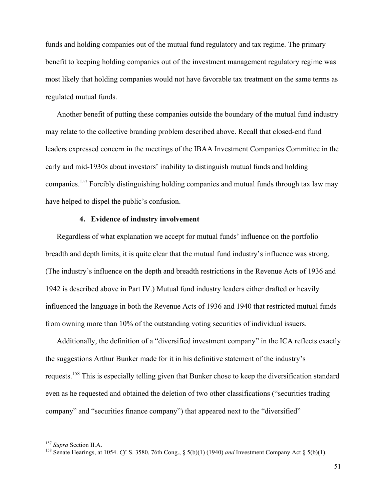funds and holding companies out of the mutual fund regulatory and tax regime. The primary benefit to keeping holding companies out of the investment management regulatory regime was most likely that holding companies would not have favorable tax treatment on the same terms as regulated mutual funds.

Another benefit of putting these companies outside the boundary of the mutual fund industry may relate to the collective branding problem described above. Recall that closed-end fund leaders expressed concern in the meetings of the IBAA Investment Companies Committee in the early and mid-1930s about investors' inability to distinguish mutual funds and holding companies.157 Forcibly distinguishing holding companies and mutual funds through tax law may have helped to dispel the public's confusion.

# **4. Evidence of industry involvement**

Regardless of what explanation we accept for mutual funds' influence on the portfolio breadth and depth limits, it is quite clear that the mutual fund industry's influence was strong. (The industry's influence on the depth and breadth restrictions in the Revenue Acts of 1936 and 1942 is described above in Part IV.) Mutual fund industry leaders either drafted or heavily influenced the language in both the Revenue Acts of 1936 and 1940 that restricted mutual funds from owning more than 10% of the outstanding voting securities of individual issuers.

Additionally, the definition of a "diversified investment company" in the ICA reflects exactly the suggestions Arthur Bunker made for it in his definitive statement of the industry's requests.158 This is especially telling given that Bunker chose to keep the diversification standard even as he requested and obtained the deletion of two other classifications ("securities trading company" and "securities finance company") that appeared next to the "diversified"

<sup>&</sup>lt;sup>157</sup> *Supra Section II.A.* 158 Senate Hearings, at 1054. *Cf. S. 3580, 76th Cong., §* 5(b)(1) (1940) *and Investment Company Act §* 5(b)(1).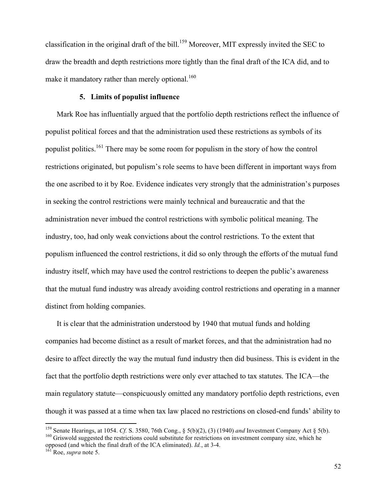classification in the original draft of the bill.<sup>159</sup> Moreover, MIT expressly invited the SEC to draw the breadth and depth restrictions more tightly than the final draft of the ICA did, and to make it mandatory rather than merely optional.<sup>160</sup>

# **5. Limits of populist influence**

Mark Roe has influentially argued that the portfolio depth restrictions reflect the influence of populist political forces and that the administration used these restrictions as symbols of its populist politics.161 There may be some room for populism in the story of how the control restrictions originated, but populism's role seems to have been different in important ways from the one ascribed to it by Roe. Evidence indicates very strongly that the administration's purposes in seeking the control restrictions were mainly technical and bureaucratic and that the administration never imbued the control restrictions with symbolic political meaning. The industry, too, had only weak convictions about the control restrictions. To the extent that populism influenced the control restrictions, it did so only through the efforts of the mutual fund industry itself, which may have used the control restrictions to deepen the public's awareness that the mutual fund industry was already avoiding control restrictions and operating in a manner distinct from holding companies.

It is clear that the administration understood by 1940 that mutual funds and holding companies had become distinct as a result of market forces, and that the administration had no desire to affect directly the way the mutual fund industry then did business. This is evident in the fact that the portfolio depth restrictions were only ever attached to tax statutes. The ICA—the main regulatory statute—conspicuously omitted any mandatory portfolio depth restrictions, even though it was passed at a time when tax law placed no restrictions on closed-end funds' ability to

<sup>&</sup>lt;sup>159</sup> Senate Hearings, at 1054. *Cf.* S. 3580, 76th Cong., § 5(b)(2), (3) (1940) *and* Investment Company Act § 5(b).<br><sup>160</sup> Griswold suggested the restrictions could substitute for restrictions on investment company size, opposed (and which the final draft of the ICA eliminated). *Id.*, at 3-4. 161 Roe, *supra* note 5.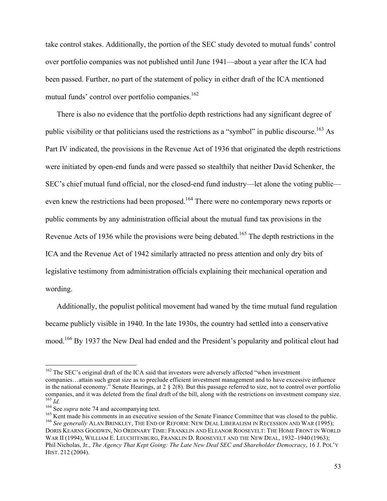take control stakes. Additionally, the portion of the SEC study devoted to mutual funds' control over portfolio companies was not published until June 1941—about a year after the ICA had been passed. Further, no part of the statement of policy in either draft of the ICA mentioned mutual funds' control over portfolio companies.<sup>162</sup>

There is also no evidence that the portfolio depth restrictions had any significant degree of public visibility or that politicians used the restrictions as a "symbol" in public discourse.<sup>163</sup> As Part IV indicated, the provisions in the Revenue Act of 1936 that originated the depth restrictions were initiated by open-end funds and were passed so stealthily that neither David Schenker, the SEC's chief mutual fund official, nor the closed-end fund industry—let alone the voting public even knew the restrictions had been proposed.<sup>164</sup> There were no contemporary news reports or public comments by any administration official about the mutual fund tax provisions in the Revenue Acts of 1936 while the provisions were being debated.<sup>165</sup> The depth restrictions in the ICA and the Revenue Act of 1942 similarly attracted no press attention and only dry bits of legislative testimony from administration officials explaining their mechanical operation and wording.

Additionally, the populist political movement had waned by the time mutual fund regulation became publicly visible in 1940. In the late 1930s, the country had settled into a conservative mood.<sup>166</sup> By 1937 the New Deal had ended and the President's popularity and political clout had

<sup>&</sup>lt;sup>162</sup> The SEC's original draft of the ICA said that investors were adversely affected "when investment companies…attain such great size as to preclude efficient investment management and to have excessive influence in the national economy." Senate Hearings, at  $2 \frac{8}{2}(8)$ . But this passage referred to size, not to control over portfolio

companies, and it was deleted from the final draft of the bill, along with the restrictions on investment company size.<br>
<sup>163</sup> *Id.*<br>
<sup>164</sup> See *supra* note 74 and accompanying text.<br>
<sup>165</sup> Kent made his comments in an ex DORIS KEARNS GOODWIN, NO ORDINARY TIME: FRANKLIN AND ELEANOR ROOSEVELT: THE HOME FRONT IN WORLD WAR II (1994), WILLIAM E. LEUCHTENBURG, FRANKLIN D. ROOSEVELT AND THE NEW DEAL, 1932–1940 (1963); Phil Nicholas, Jr., *The Agency That Kept Going: The Late New Deal SEC and Shareholder Democracy*, 16 J. POL'Y HIST. 212 (2004).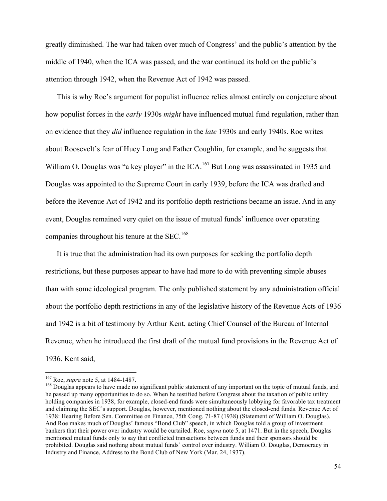greatly diminished. The war had taken over much of Congress' and the public's attention by the middle of 1940, when the ICA was passed, and the war continued its hold on the public's attention through 1942, when the Revenue Act of 1942 was passed.

This is why Roe's argument for populist influence relies almost entirely on conjecture about how populist forces in the *early* 1930s *might* have influenced mutual fund regulation, rather than on evidence that they *did* influence regulation in the *late* 1930s and early 1940s. Roe writes about Roosevelt's fear of Huey Long and Father Coughlin, for example, and he suggests that William O. Douglas was "a key player" in the ICA.<sup>167</sup> But Long was assassinated in 1935 and Douglas was appointed to the Supreme Court in early 1939, before the ICA was drafted and before the Revenue Act of 1942 and its portfolio depth restrictions became an issue. And in any event, Douglas remained very quiet on the issue of mutual funds' influence over operating companies throughout his tenure at the  $SEC.168$ 

It is true that the administration had its own purposes for seeking the portfolio depth restrictions, but these purposes appear to have had more to do with preventing simple abuses than with some ideological program. The only published statement by any administration official about the portfolio depth restrictions in any of the legislative history of the Revenue Acts of 1936 and 1942 is a bit of testimony by Arthur Kent, acting Chief Counsel of the Bureau of Internal Revenue, when he introduced the first draft of the mutual fund provisions in the Revenue Act of 1936. Kent said,

<sup>!!!!!!!!!!!!!!!!!!!!!!!!!!!!!!!!!!!!!!!!!!!!!!!!!!!!!!!!!!!!</sup>

<sup>&</sup>lt;sup>167</sup> Roe, *supra* note 5, at 1484-1487.<br><sup>168</sup> Douglas appears to have made no significant public statement of any important on the topic of mutual funds, and he passed up many opportunities to do so. When he testified before Congress about the taxation of public utility holding companies in 1938, for example, closed-end funds were simultaneously lobbying for favorable tax treatment and claiming the SEC's support. Douglas, however, mentioned nothing about the closed-end funds. Revenue Act of 1938: Hearing Before Sen. Committee on Finance, 75th Cong. 71-87 (1938) (Statement of William O. Douglas). And Roe makes much of Douglas' famous "Bond Club" speech, in which Douglas told a group of investment bankers that their power over industry would be curtailed. Roe, *supra* note 5, at 1471. But in the speech, Douglas mentioned mutual funds only to say that conflicted transactions between funds and their sponsors should be prohibited. Douglas said nothing about mutual funds' control over industry. William O. Douglas, Democracy in Industry and Finance, Address to the Bond Club of New York (Mar. 24, 1937).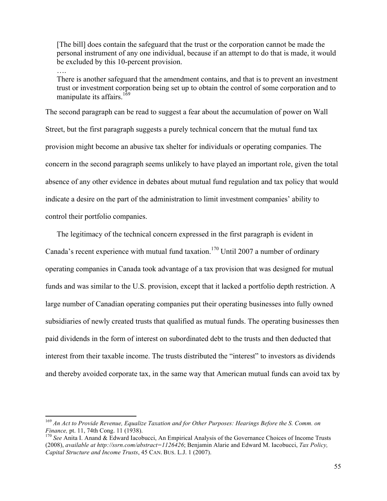[The bill] does contain the safeguard that the trust or the corporation cannot be made the personal instrument of any one individual, because if an attempt to do that is made, it would be excluded by this 10-percent provision.

….

There is another safeguard that the amendment contains, and that is to prevent an investment trust or investment corporation being set up to obtain the control of some corporation and to manipulate its affairs.<sup>169</sup>

The second paragraph can be read to suggest a fear about the accumulation of power on Wall Street, but the first paragraph suggests a purely technical concern that the mutual fund tax provision might become an abusive tax shelter for individuals or operating companies. The concern in the second paragraph seems unlikely to have played an important role, given the total absence of any other evidence in debates about mutual fund regulation and tax policy that would indicate a desire on the part of the administration to limit investment companies' ability to control their portfolio companies.

The legitimacy of the technical concern expressed in the first paragraph is evident in Canada's recent experience with mutual fund taxation.<sup>170</sup> Until 2007 a number of ordinary operating companies in Canada took advantage of a tax provision that was designed for mutual funds and was similar to the U.S. provision, except that it lacked a portfolio depth restriction. A large number of Canadian operating companies put their operating businesses into fully owned subsidiaries of newly created trusts that qualified as mutual funds. The operating businesses then paid dividends in the form of interest on subordinated debt to the trusts and then deducted that interest from their taxable income. The trusts distributed the "interest" to investors as dividends and thereby avoided corporate tax, in the same way that American mutual funds can avoid tax by

<sup>169</sup> *An Act to Provide Revenue, Equalize Taxation and for Other Purposes: Hearings Before the S. Comm. on Finance*, pt. 11, 74th Cong. 11 (1938).<br><sup>170</sup> *See* Anita I. Anand & Edward Iacobucci, An Empirical Analysis of the Governance Choices of Income Trusts

<sup>(2008),</sup> *available at http://ssrn.com/abstract=1126426*; Benjamin Alarie and Edward M. Iacobucci, *Tax Policy, Capital Structure and Income Trusts*, 45 CAN. BUS. L.J. 1 (2007).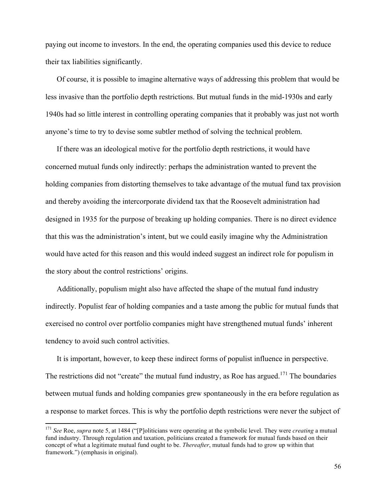paying out income to investors. In the end, the operating companies used this device to reduce their tax liabilities significantly.

Of course, it is possible to imagine alternative ways of addressing this problem that would be less invasive than the portfolio depth restrictions. But mutual funds in the mid-1930s and early 1940s had so little interest in controlling operating companies that it probably was just not worth anyone's time to try to devise some subtler method of solving the technical problem.

If there was an ideological motive for the portfolio depth restrictions, it would have concerned mutual funds only indirectly: perhaps the administration wanted to prevent the holding companies from distorting themselves to take advantage of the mutual fund tax provision and thereby avoiding the intercorporate dividend tax that the Roosevelt administration had designed in 1935 for the purpose of breaking up holding companies. There is no direct evidence that this was the administration's intent, but we could easily imagine why the Administration would have acted for this reason and this would indeed suggest an indirect role for populism in the story about the control restrictions' origins.

Additionally, populism might also have affected the shape of the mutual fund industry indirectly. Populist fear of holding companies and a taste among the public for mutual funds that exercised no control over portfolio companies might have strengthened mutual funds' inherent tendency to avoid such control activities.

It is important, however, to keep these indirect forms of populist influence in perspective. The restrictions did not "create" the mutual fund industry, as Roe has argued.<sup>171</sup> The boundaries between mutual funds and holding companies grew spontaneously in the era before regulation as a response to market forces. This is why the portfolio depth restrictions were never the subject of

<sup>171</sup> *See* Roe, *supra* note 5, at 1484 ("[P]oliticians were operating at the symbolic level. They were *creating* a mutual fund industry. Through regulation and taxation, politicians created a framework for mutual funds based on their concept of what a legitimate mutual fund ought to be. *Thereafter*, mutual funds had to grow up within that framework.") (emphasis in original).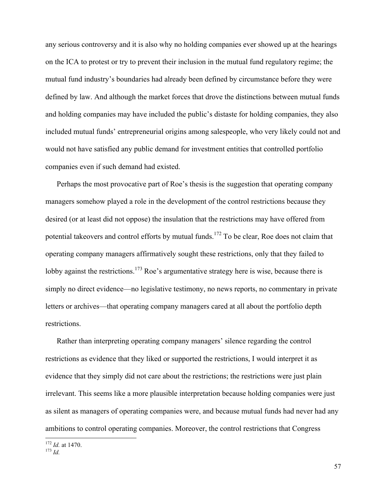any serious controversy and it is also why no holding companies ever showed up at the hearings on the ICA to protest or try to prevent their inclusion in the mutual fund regulatory regime; the mutual fund industry's boundaries had already been defined by circumstance before they were defined by law. And although the market forces that drove the distinctions between mutual funds and holding companies may have included the public's distaste for holding companies, they also included mutual funds' entrepreneurial origins among salespeople, who very likely could not and would not have satisfied any public demand for investment entities that controlled portfolio companies even if such demand had existed.

Perhaps the most provocative part of Roe's thesis is the suggestion that operating company managers somehow played a role in the development of the control restrictions because they desired (or at least did not oppose) the insulation that the restrictions may have offered from potential takeovers and control efforts by mutual funds.<sup>172</sup> To be clear, Roe does not claim that operating company managers affirmatively sought these restrictions, only that they failed to lobby against the restrictions.<sup>173</sup> Roe's argumentative strategy here is wise, because there is simply no direct evidence—no legislative testimony, no news reports, no commentary in private letters or archives—that operating company managers cared at all about the portfolio depth restrictions.

Rather than interpreting operating company managers' silence regarding the control restrictions as evidence that they liked or supported the restrictions, I would interpret it as evidence that they simply did not care about the restrictions; the restrictions were just plain irrelevant. This seems like a more plausible interpretation because holding companies were just as silent as managers of operating companies were, and because mutual funds had never had any ambitions to control operating companies. Moreover, the control restrictions that Congress

<sup>172</sup> *Id.* at 1470. <sup>173</sup> *Id.*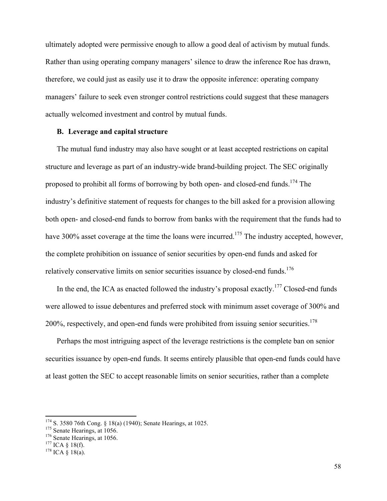ultimately adopted were permissive enough to allow a good deal of activism by mutual funds. Rather than using operating company managers' silence to draw the inference Roe has drawn, therefore, we could just as easily use it to draw the opposite inference: operating company managers' failure to seek even stronger control restrictions could suggest that these managers actually welcomed investment and control by mutual funds.

# **B. Leverage and capital structure**

The mutual fund industry may also have sought or at least accepted restrictions on capital structure and leverage as part of an industry-wide brand-building project. The SEC originally proposed to prohibit all forms of borrowing by both open- and closed-end funds.<sup>174</sup> The industry's definitive statement of requests for changes to the bill asked for a provision allowing both open- and closed-end funds to borrow from banks with the requirement that the funds had to have 300% asset coverage at the time the loans were incurred.<sup>175</sup> The industry accepted, however, the complete prohibition on issuance of senior securities by open-end funds and asked for relatively conservative limits on senior securities issuance by closed-end funds.<sup>176</sup>

In the end, the ICA as enacted followed the industry's proposal exactly.<sup>177</sup> Closed-end funds were allowed to issue debentures and preferred stock with minimum asset coverage of 300% and 200%, respectively, and open-end funds were prohibited from issuing senior securities.<sup>178</sup>

Perhaps the most intriguing aspect of the leverage restrictions is the complete ban on senior securities issuance by open-end funds. It seems entirely plausible that open-end funds could have at least gotten the SEC to accept reasonable limits on senior securities, rather than a complete

<sup>&</sup>lt;sup>174</sup> S. 3580 76th Cong. § 18(a) (1940); Senate Hearings, at 1025.<br><sup>175</sup> Senate Hearings, at 1056.<br><sup>176</sup> Senate Hearings, at 1056.<br><sup>176</sup> ICA § 18(f). <sup>178</sup> ICA § 18(a).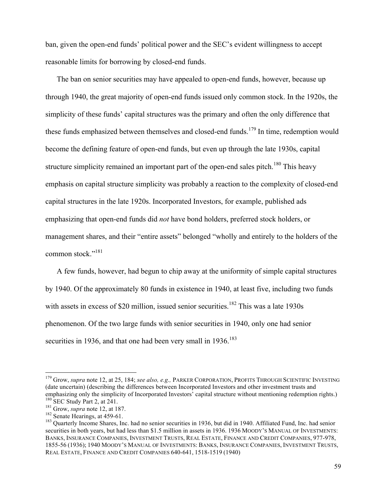ban, given the open-end funds' political power and the SEC's evident willingness to accept reasonable limits for borrowing by closed-end funds.

The ban on senior securities may have appealed to open-end funds, however, because up through 1940, the great majority of open-end funds issued only common stock. In the 1920s, the simplicity of these funds' capital structures was the primary and often the only difference that these funds emphasized between themselves and closed-end funds.<sup>179</sup> In time, redemption would become the defining feature of open-end funds, but even up through the late 1930s, capital structure simplicity remained an important part of the open-end sales pitch.<sup>180</sup> This heavy emphasis on capital structure simplicity was probably a reaction to the complexity of closed-end capital structures in the late 1920s. Incorporated Investors, for example, published ads emphasizing that open-end funds did *not* have bond holders, preferred stock holders, or management shares, and their "entire assets" belonged "wholly and entirely to the holders of the common stock."<sup>181</sup>

A few funds, however, had begun to chip away at the uniformity of simple capital structures by 1940. Of the approximately 80 funds in existence in 1940, at least five, including two funds with assets in excess of \$20 million, issued senior securities.<sup>182</sup> This was a late 1930s phenomenon. Of the two large funds with senior securities in 1940, only one had senior securities in 1936, and that one had been very small in  $1936$ <sup>183</sup>

<sup>179</sup> Grow, *supra* note 12, at 25, 184; *see also, e.g.,* PARKER CORPORATION, PROFITS THROUGH SCIENTIFIC INVESTING (date uncertain) (describing the differences between Incorporated Investors and other investment trusts and emphasizing only the simplicity of Incorporated Investors' capital structure without mentioning redemption rights.)

<sup>&</sup>lt;sup>180</sup> SEC Study Part 2, at 241.<br><sup>181</sup> Grow, *supra* note 12, at 187.<br><sup>182</sup> Senate Hearings, at 459-61.<br><sup>182</sup> Quarterly Income Shares, Inc. had no senior securities in 1936, but did in 1940. Affiliated Fund, Inc. had senior securities in both years, but had less than \$1.5 million in assets in 1936. 1936 MOODY'S MANUAL OF INVESTMENTS: BANKS, INSURANCE COMPANIES, INVESTMENT TRUSTS, REAL ESTATE, FINANCE AND CREDIT COMPANIES, 977-978, 1855-56 (1936); 1940 MOODY'S MANUAL OF INVESTMENTS: BANKS, INSURANCE COMPANIES, INVESTMENT TRUSTS, REAL ESTATE, FINANCE AND CREDIT COMPANIES 640-641, 1518-1519 (1940)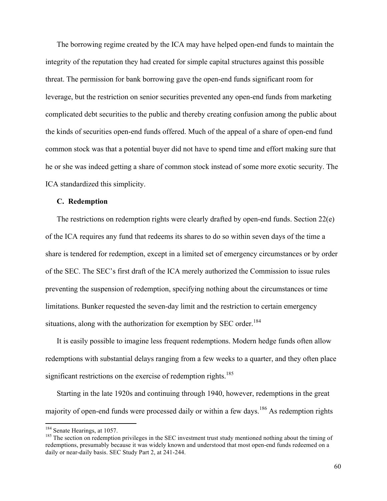The borrowing regime created by the ICA may have helped open-end funds to maintain the integrity of the reputation they had created for simple capital structures against this possible threat. The permission for bank borrowing gave the open-end funds significant room for leverage, but the restriction on senior securities prevented any open-end funds from marketing complicated debt securities to the public and thereby creating confusion among the public about the kinds of securities open-end funds offered. Much of the appeal of a share of open-end fund common stock was that a potential buyer did not have to spend time and effort making sure that he or she was indeed getting a share of common stock instead of some more exotic security. The ICA standardized this simplicity.

# **C. Redemption**

The restrictions on redemption rights were clearly drafted by open-end funds. Section 22(e) of the ICA requires any fund that redeems its shares to do so within seven days of the time a share is tendered for redemption, except in a limited set of emergency circumstances or by order of the SEC. The SEC's first draft of the ICA merely authorized the Commission to issue rules preventing the suspension of redemption, specifying nothing about the circumstances or time limitations. Bunker requested the seven-day limit and the restriction to certain emergency situations, along with the authorization for exemption by SEC order.<sup>184</sup>

It is easily possible to imagine less frequent redemptions. Modern hedge funds often allow redemptions with substantial delays ranging from a few weeks to a quarter, and they often place significant restrictions on the exercise of redemption rights.<sup>185</sup>

Starting in the late 1920s and continuing through 1940, however, redemptions in the great majority of open-end funds were processed daily or within a few days.<sup>186</sup> As redemption rights

<sup>&</sup>lt;sup>184</sup> Senate Hearings, at 1057.<br><sup>185</sup> The section on redemption privileges in the SEC investment trust study mentioned nothing about the timing of redemptions, presumably because it was widely known and understood that most open-end funds redeemed on a daily or near-daily basis. SEC Study Part 2, at 241-244.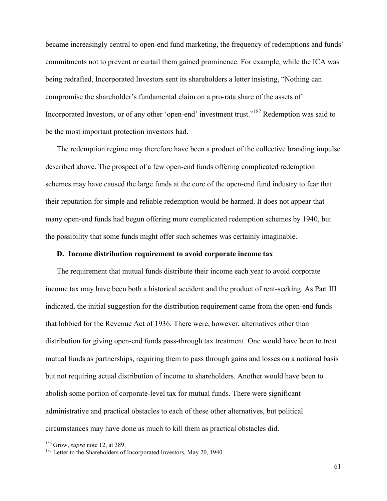became increasingly central to open-end fund marketing, the frequency of redemptions and funds' commitments not to prevent or curtail them gained prominence. For example, while the ICA was being redrafted, Incorporated Investors sent its shareholders a letter insisting, "Nothing can compromise the shareholder's fundamental claim on a pro-rata share of the assets of Incorporated Investors, or of any other 'open-end' investment trust."<sup>187</sup> Redemption was said to be the most important protection investors had.

The redemption regime may therefore have been a product of the collective branding impulse described above. The prospect of a few open-end funds offering complicated redemption schemes may have caused the large funds at the core of the open-end fund industry to fear that their reputation for simple and reliable redemption would be harmed. It does not appear that many open-end funds had begun offering more complicated redemption schemes by 1940, but the possibility that some funds might offer such schemes was certainly imaginable.

# **D. Income distribution requirement to avoid corporate income tax**

The requirement that mutual funds distribute their income each year to avoid corporate income tax may have been both a historical accident and the product of rent-seeking. As Part III indicated, the initial suggestion for the distribution requirement came from the open-end funds that lobbied for the Revenue Act of 1936. There were, however, alternatives other than distribution for giving open-end funds pass-through tax treatment. One would have been to treat mutual funds as partnerships, requiring them to pass through gains and losses on a notional basis but not requiring actual distribution of income to shareholders. Another would have been to abolish some portion of corporate-level tax for mutual funds. There were significant administrative and practical obstacles to each of these other alternatives, but political circumstances may have done as much to kill them as practical obstacles did.

!!!!!!!!!!!!!!!!!!!!!!!!!!!!!!!!!!!!!!!!!!!!!!!!!!!!!!!!!!!!!!!!!!!!!!!!!!!!!!!!!!!!!!!!!!!!!!!!!!!!!!!!!!!!!!!!!!!!!!!!!!!!!!!!!!!!!!!!!!!!!!!!!!!!!!!!!!!!!!!!!!!!!!!!!!!!!!!!!!!!!!!!!!!!!!!!!!!

<sup>&</sup>lt;sup>186</sup> Grow, *supra* note 12, at 389.<br><sup>187</sup> Letter to the Shareholders of Incorporated Investors, May 20, 1940.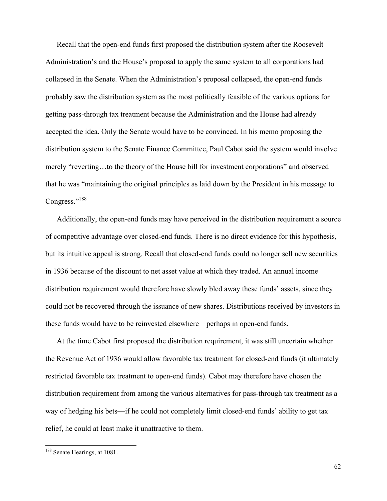Recall that the open-end funds first proposed the distribution system after the Roosevelt Administration's and the House's proposal to apply the same system to all corporations had collapsed in the Senate. When the Administration's proposal collapsed, the open-end funds probably saw the distribution system as the most politically feasible of the various options for getting pass-through tax treatment because the Administration and the House had already accepted the idea. Only the Senate would have to be convinced. In his memo proposing the distribution system to the Senate Finance Committee, Paul Cabot said the system would involve merely "reverting…to the theory of the House bill for investment corporations" and observed that he was "maintaining the original principles as laid down by the President in his message to Congress."<sup>188</sup>

Additionally, the open-end funds may have perceived in the distribution requirement a source of competitive advantage over closed-end funds. There is no direct evidence for this hypothesis, but its intuitive appeal is strong. Recall that closed-end funds could no longer sell new securities in 1936 because of the discount to net asset value at which they traded. An annual income distribution requirement would therefore have slowly bled away these funds' assets, since they could not be recovered through the issuance of new shares. Distributions received by investors in these funds would have to be reinvested elsewhere—perhaps in open-end funds.

At the time Cabot first proposed the distribution requirement, it was still uncertain whether the Revenue Act of 1936 would allow favorable tax treatment for closed-end funds (it ultimately restricted favorable tax treatment to open-end funds). Cabot may therefore have chosen the distribution requirement from among the various alternatives for pass-through tax treatment as a way of hedging his bets—if he could not completely limit closed-end funds' ability to get tax relief, he could at least make it unattractive to them.

<sup>&</sup>lt;sup>188</sup> Senate Hearings, at 1081.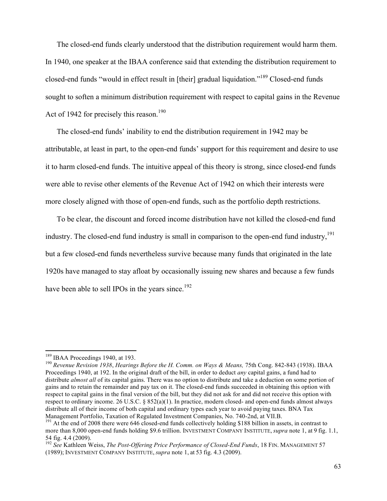The closed-end funds clearly understood that the distribution requirement would harm them. In 1940, one speaker at the IBAA conference said that extending the distribution requirement to closed-end funds "would in effect result in [their] gradual liquidation."189 Closed-end funds sought to soften a minimum distribution requirement with respect to capital gains in the Revenue Act of 1942 for precisely this reason.<sup>190</sup>

The closed-end funds' inability to end the distribution requirement in 1942 may be attributable, at least in part, to the open-end funds' support for this requirement and desire to use it to harm closed-end funds. The intuitive appeal of this theory is strong, since closed-end funds were able to revise other elements of the Revenue Act of 1942 on which their interests were more closely aligned with those of open-end funds, such as the portfolio depth restrictions.

To be clear, the discount and forced income distribution have not killed the closed-end fund industry. The closed-end fund industry is small in comparison to the open-end fund industry,<sup>191</sup> but a few closed-end funds nevertheless survive because many funds that originated in the late 1920s have managed to stay afloat by occasionally issuing new shares and because a few funds have been able to sell IPOs in the years since.<sup>192</sup>

<sup>!!!!!!!!!!!!!!!!!!!!!!!!!!!!!!!!!!!!!!!!!!!!!!!!!!!!!!!!!!!!</sup>

<sup>&</sup>lt;sup>189</sup> IBAA Proceedings 1940, at 193.<br><sup>190</sup> Revenue Revision 1938, *Hearings Before the H. Comm. on Ways & Means, 75th Cong. 842-843 (1938).* IBAA Proceedings 1940, at 192. In the original draft of the bill, in order to deduct *any* capital gains, a fund had to distribute *almost all* of its capital gains. There was no option to distribute and take a deduction on some portion of gains and to retain the remainder and pay tax on it. The closed-end funds succeeded in obtaining this option with respect to capital gains in the final version of the bill, but they did not ask for and did not receive this option with respect to ordinary income. 26 U.S.C. § 852(a)(1). In practice, modern closed- and open-end funds almost always distribute all of their income of both capital and ordinary types each year to avoid paying taxes. BNA Tax Management Portfolio, Taxation of Regulated Investment Companies, No. 740-2nd, at VII.B. <sup>191</sup> At the end of 2008 there were 646 closed-end funds collectively holding \$188 billion in assets, in contrast to

more than 8,000 open-end funds holding \$9.6 trillion. INVESTMENT COMPANY INSTITUTE, *supra* note 1, at 9 fig. 1.1, 54 fig. 4.4 (2009).

<sup>192</sup> *See* Kathleen Weiss, *The Post-Offering Price Performance of Closed-End Funds*, 18 FIN. MANAGEMENT 57 (1989); INVESTMENT COMPANY INSTITUTE, *supra* note 1, at 53 fig. 4.3 (2009).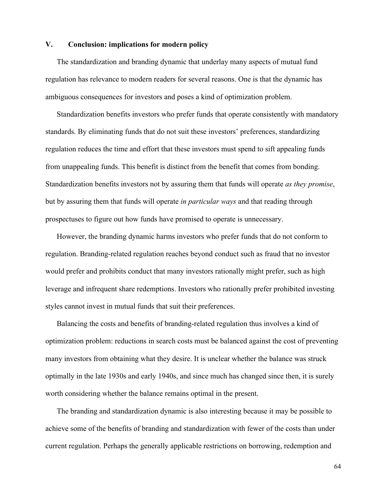# **V. Conclusion: implications for modern policy**

The standardization and branding dynamic that underlay many aspects of mutual fund regulation has relevance to modern readers for several reasons. One is that the dynamic has ambiguous consequences for investors and poses a kind of optimization problem.

Standardization benefits investors who prefer funds that operate consistently with mandatory standards. By eliminating funds that do not suit these investors' preferences, standardizing regulation reduces the time and effort that these investors must spend to sift appealing funds from unappealing funds. This benefit is distinct from the benefit that comes from bonding. Standardization benefits investors not by assuring them that funds will operate *as they promise*, but by assuring them that funds will operate *in particular ways* and that reading through prospectuses to figure out how funds have promised to operate is unnecessary.

However, the branding dynamic harms investors who prefer funds that do not conform to regulation. Branding-related regulation reaches beyond conduct such as fraud that no investor would prefer and prohibits conduct that many investors rationally might prefer, such as high leverage and infrequent share redemptions. Investors who rationally prefer prohibited investing styles cannot invest in mutual funds that suit their preferences.

Balancing the costs and benefits of branding-related regulation thus involves a kind of optimization problem: reductions in search costs must be balanced against the cost of preventing many investors from obtaining what they desire. It is unclear whether the balance was struck optimally in the late 1930s and early 1940s, and since much has changed since then, it is surely worth considering whether the balance remains optimal in the present.

The branding and standardization dynamic is also interesting because it may be possible to achieve some of the benefits of branding and standardization with fewer of the costs than under current regulation. Perhaps the generally applicable restrictions on borrowing, redemption and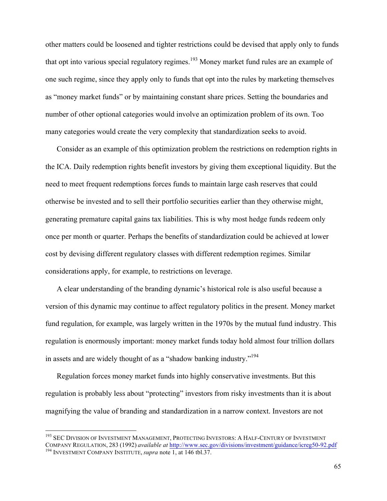other matters could be loosened and tighter restrictions could be devised that apply only to funds that opt into various special regulatory regimes.<sup>193</sup> Money market fund rules are an example of one such regime, since they apply only to funds that opt into the rules by marketing themselves as "money market funds" or by maintaining constant share prices. Setting the boundaries and number of other optional categories would involve an optimization problem of its own. Too many categories would create the very complexity that standardization seeks to avoid.

Consider as an example of this optimization problem the restrictions on redemption rights in the ICA. Daily redemption rights benefit investors by giving them exceptional liquidity. But the need to meet frequent redemptions forces funds to maintain large cash reserves that could otherwise be invested and to sell their portfolio securities earlier than they otherwise might, generating premature capital gains tax liabilities. This is why most hedge funds redeem only once per month or quarter. Perhaps the benefits of standardization could be achieved at lower cost by devising different regulatory classes with different redemption regimes. Similar considerations apply, for example, to restrictions on leverage.

A clear understanding of the branding dynamic's historical role is also useful because a version of this dynamic may continue to affect regulatory politics in the present. Money market fund regulation, for example, was largely written in the 1970s by the mutual fund industry. This regulation is enormously important: money market funds today hold almost four trillion dollars in assets and are widely thought of as a "shadow banking industry."194

Regulation forces money market funds into highly conservative investments. But this regulation is probably less about "protecting" investors from risky investments than it is about magnifying the value of branding and standardization in a narrow context. Investors are not

<sup>&</sup>lt;sup>193</sup> SEC DIVISION OF INVESTMENT MANAGEMENT, PROTECTING INVESTORS: A HALF-CENTURY OF INVESTMENT COMPANY REGULATION, <sup>283</sup> (1992) *available at* http://www.sec.gov/divisions/investment/guidance/icreg50-92.pdf <sup>194</sup> INVESTMENT COMPANY INSTITUTE, *supra* note 1, at 146 tbl.37.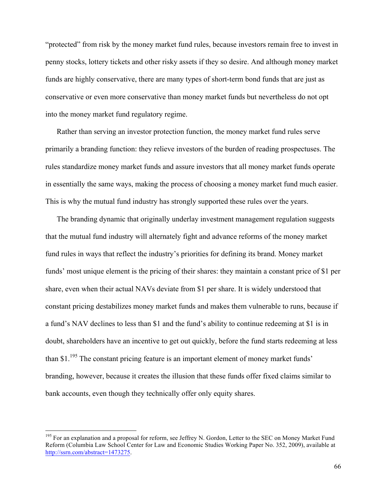"protected" from risk by the money market fund rules, because investors remain free to invest in penny stocks, lottery tickets and other risky assets if they so desire. And although money market funds are highly conservative, there are many types of short-term bond funds that are just as conservative or even more conservative than money market funds but nevertheless do not opt into the money market fund regulatory regime.

Rather than serving an investor protection function, the money market fund rules serve primarily a branding function: they relieve investors of the burden of reading prospectuses. The rules standardize money market funds and assure investors that all money market funds operate in essentially the same ways, making the process of choosing a money market fund much easier. This is why the mutual fund industry has strongly supported these rules over the years.

The branding dynamic that originally underlay investment management regulation suggests that the mutual fund industry will alternately fight and advance reforms of the money market fund rules in ways that reflect the industry's priorities for defining its brand. Money market funds' most unique element is the pricing of their shares: they maintain a constant price of \$1 per share, even when their actual NAVs deviate from \$1 per share. It is widely understood that constant pricing destabilizes money market funds and makes them vulnerable to runs, because if a fund's NAV declines to less than \$1 and the fund's ability to continue redeeming at \$1 is in doubt, shareholders have an incentive to get out quickly, before the fund starts redeeming at less than \$1.<sup>195</sup> The constant pricing feature is an important element of money market funds' branding, however, because it creates the illusion that these funds offer fixed claims similar to bank accounts, even though they technically offer only equity shares.

<sup>&</sup>lt;sup>195</sup> For an explanation and a proposal for reform, see Jeffrey N. Gordon, Letter to the SEC on Money Market Fund Reform (Columbia Law School Center for Law and Economic Studies Working Paper No. 352, 2009), available at http://ssrn.com/abstract=1473275.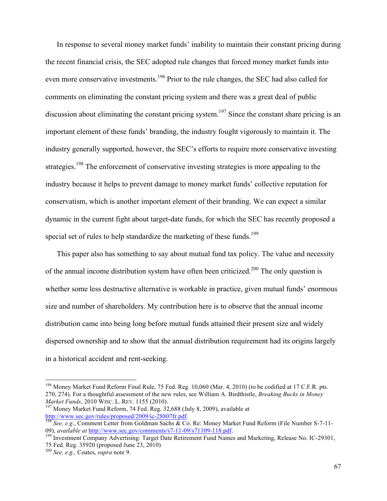In response to several money market funds' inability to maintain their constant pricing during the recent financial crisis, the SEC adopted rule changes that forced money market funds into even more conservative investments.<sup>196</sup> Prior to the rule changes, the SEC had also called for comments on eliminating the constant pricing system and there was a great deal of public discussion about eliminating the constant pricing system.<sup>197</sup> Since the constant share pricing is an important element of these funds' branding, the industry fought vigorously to maintain it. The industry generally supported, however, the SEC's efforts to require more conservative investing strategies.<sup>198</sup> The enforcement of conservative investing strategies is more appealing to the industry because it helps to prevent damage to money market funds' collective reputation for conservatism, which is another important element of their branding. We can expect a similar dynamic in the current fight about target-date funds, for which the SEC has recently proposed a special set of rules to help standardize the marketing of these funds.<sup>199</sup>

This paper also has something to say about mutual fund tax policy. The value and necessity of the annual income distribution system have often been criticized.<sup>200</sup> The only question is whether some less destructive alternative is workable in practice, given mutual funds' enormous size and number of shareholders. My contribution here is to observe that the annual income distribution came into being long before mutual funds attained their present size and widely dispersed ownership and to show that the annual distribution requirement had its origins largely in a historical accident and rent-seeking.

<sup>&</sup>lt;sup>196</sup> Money Market Fund Reform Final Rule, 75 Fed. Reg. 10,060 (Mar. 4, 2010) (to be codified at 17 C.F.R. pts. 270, 274). For a thoughtful assessment of the new rules, see William A. Birdthistle, *Breaking Bucks in Money Market Funds*, 2010 WISC. L. REV. 1155 (2010).<br><sup>197</sup> Money Market Fund Reform, 74 Fed. Reg. 32,688 (July 8, 2009), available at

http://www.sec.gov/rules/proposed/2009/ic-28807fr.pdf.<br><sup>198</sup> *See, e.g.*, Comment Letter from Goldman Sachs & Co. Re: Money Market Fund Reform (File Number S-7-11-<br>09), *available at http://www.sec.gov/comments/s7-11-09/s7* 

<sup>&</sup>lt;sup>199</sup> Investment Company Advertising: Target Date Retirement Fund Names and Marketing, Release No. IC-29301, 75 Fed. Reg. 35920 (proposed June 23, 2010)

<sup>200</sup> *See, e.g.,* Coates, *supra* note 9.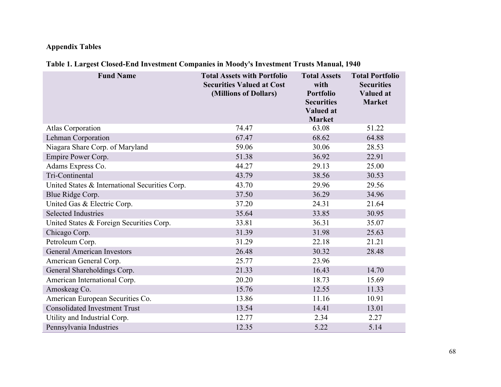# **Appendix Tables**

# **Table 1. Largest Closed-End Investment Companies in Moody's Investment Trusts Manual, 1940**

| <b>Fund Name</b>                               | <b>Total Assets with Portfolio</b><br><b>Securities Valued at Cost</b><br>(Millions of Dollars) | <b>Total Assets</b><br>with<br><b>Portfolio</b><br><b>Securities</b><br><b>Valued at</b><br><b>Market</b> | <b>Total Portfolio</b><br><b>Securities</b><br><b>Valued at</b><br><b>Market</b> |
|------------------------------------------------|-------------------------------------------------------------------------------------------------|-----------------------------------------------------------------------------------------------------------|----------------------------------------------------------------------------------|
| <b>Atlas Corporation</b>                       | 74.47                                                                                           | 63.08                                                                                                     | 51.22                                                                            |
| Lehman Corporation                             | 67.47                                                                                           | 68.62                                                                                                     | 64.88                                                                            |
| Niagara Share Corp. of Maryland                | 59.06                                                                                           | 30.06                                                                                                     | 28.53                                                                            |
| Empire Power Corp.                             | 51.38                                                                                           | 36.92                                                                                                     | 22.91                                                                            |
| Adams Express Co.                              | 44.27                                                                                           | 29.13                                                                                                     | 25.00                                                                            |
| Tri-Continental                                | 43.79                                                                                           | 38.56                                                                                                     | 30.53                                                                            |
| United States & International Securities Corp. | 43.70                                                                                           | 29.96                                                                                                     | 29.56                                                                            |
| Blue Ridge Corp.                               | 37.50                                                                                           | 36.29                                                                                                     | 34.96                                                                            |
| United Gas & Electric Corp.                    | 37.20                                                                                           | 24.31                                                                                                     | 21.64                                                                            |
| <b>Selected Industries</b>                     | 35.64                                                                                           | 33.85                                                                                                     | 30.95                                                                            |
| United States & Foreign Securities Corp.       | 33.81                                                                                           | 36.31                                                                                                     | 35.07                                                                            |
| Chicago Corp.                                  | 31.39                                                                                           | 31.98                                                                                                     | 25.63                                                                            |
| Petroleum Corp.                                | 31.29                                                                                           | 22.18                                                                                                     | 21.21                                                                            |
| <b>General American Investors</b>              | 26.48                                                                                           | 30.32                                                                                                     | 28.48                                                                            |
| American General Corp.                         | 25.77                                                                                           | 23.96                                                                                                     |                                                                                  |
| General Shareholdings Corp.                    | 21.33                                                                                           | 16.43                                                                                                     | 14.70                                                                            |
| American International Corp.                   | 20.20                                                                                           | 18.73                                                                                                     | 15.69                                                                            |
| Amoskeag Co.                                   | 15.76                                                                                           | 12.55                                                                                                     | 11.33                                                                            |
| American European Securities Co.               | 13.86                                                                                           | 11.16                                                                                                     | 10.91                                                                            |
| <b>Consolidated Investment Trust</b>           | 13.54                                                                                           | 14.41                                                                                                     | 13.01                                                                            |
| Utility and Industrial Corp.                   | 12.77                                                                                           | 2.34                                                                                                      | 2.27                                                                             |
| Pennsylvania Industries                        | 12.35                                                                                           | 5.22                                                                                                      | 5.14                                                                             |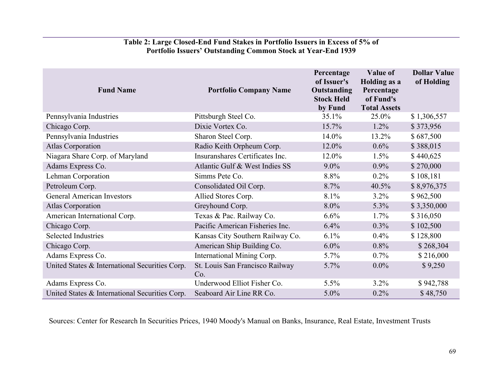# **Table 2: Large Closed-End Fund Stakes in Portfolio Issuers in Excess of 5% of Portfolio Issuers' Outstanding Common Stock at Year-End 1939**

| <b>Fund Name</b>                               | <b>Portfolio Company Name</b>          | Percentage<br>of Issuer's<br>Outstanding<br><b>Stock Held</b><br>by Fund | Value of<br>Holding as a<br>Percentage<br>of Fund's<br><b>Total Assets</b> | <b>Dollar Value</b><br>of Holding |
|------------------------------------------------|----------------------------------------|--------------------------------------------------------------------------|----------------------------------------------------------------------------|-----------------------------------|
| Pennsylvania Industries                        | Pittsburgh Steel Co.                   | 35.1%                                                                    | 25.0%                                                                      | \$1,306,557                       |
| Chicago Corp.                                  | Dixie Vortex Co.                       | 15.7%                                                                    | $1.2\%$                                                                    | \$373,956                         |
| Pennsylvania Industries                        | Sharon Steel Corp.                     | 14.0%                                                                    | 13.2%                                                                      | \$687,500                         |
| <b>Atlas Corporation</b>                       | Radio Keith Orpheum Corp.              | 12.0%                                                                    | $0.6\%$                                                                    | \$388,015                         |
| Niagara Share Corp. of Maryland                | Insuranshares Certificates Inc.        | 12.0%                                                                    | 1.5%                                                                       | \$440,625                         |
| Adams Express Co.                              | Atlantic Gulf & West Indies SS         | $9.0\%$                                                                  | $0.9\%$                                                                    | \$270,000                         |
| Lehman Corporation                             | Simms Pete Co.                         | 8.8%                                                                     | $0.2\%$                                                                    | \$108,181                         |
| Petroleum Corp.                                | Consolidated Oil Corp.                 | 8.7%                                                                     | $40.5\%$                                                                   | \$8,976,375                       |
| <b>General American Investors</b>              | Allied Stores Corp.                    | 8.1%                                                                     | $3.2\%$                                                                    | \$962,500                         |
| <b>Atlas Corporation</b>                       | Greyhound Corp.                        | $8.0\%$                                                                  | 5.3%                                                                       | \$3,350,000                       |
| American International Corp.                   | Texas & Pac. Railway Co.               | 6.6%                                                                     | $1.7\%$                                                                    | \$316,050                         |
| Chicago Corp.                                  | Pacific American Fisheries Inc.        | 6.4%                                                                     | $0.3\%$                                                                    | \$102,500                         |
| <b>Selected Industries</b>                     | Kansas City Southern Railway Co.       | $6.1\%$                                                                  | $0.4\%$                                                                    | \$128,800                         |
| Chicago Corp.                                  | American Ship Building Co.             | 6.0%                                                                     | 0.8%                                                                       | \$268,304                         |
| Adams Express Co.                              | International Mining Corp.             | 5.7%                                                                     | $0.7\%$                                                                    | \$216,000                         |
| United States & International Securities Corp. | St. Louis San Francisco Railway<br>Co. | 5.7%                                                                     | $0.0\%$                                                                    | \$9,250                           |
| Adams Express Co.                              | Underwood Elliot Fisher Co.            | 5.5%                                                                     | 3.2%                                                                       | \$942,788                         |
| United States & International Securities Corp. | Seaboard Air Line RR Co.               | 5.0%                                                                     | 0.2%                                                                       | \$48,750                          |

Sources: Center for Research In Securities Prices, 1940 Moody's Manual on Banks, Insurance, Real Estate, Investment Trusts